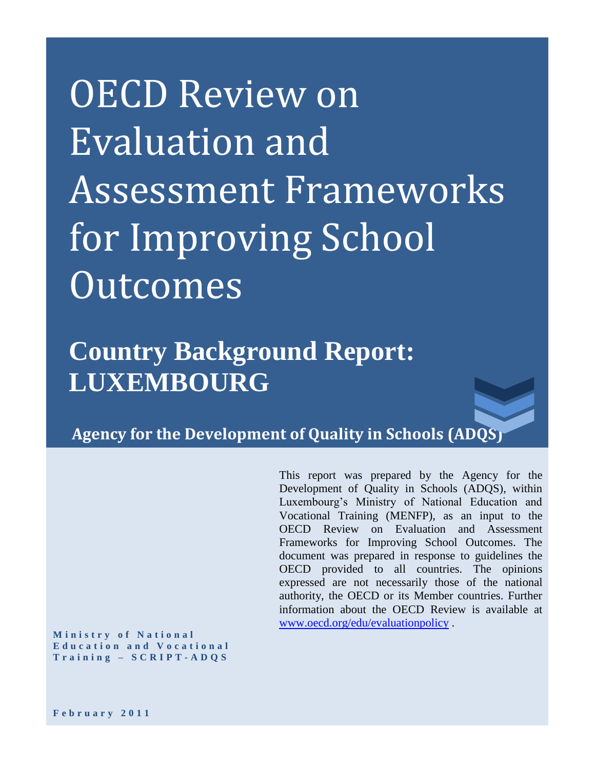# OECD Review on Evaluation and Assessment Frameworks for Improving School Outcomes

**Country Background Report: LUXEMBOURG**

**Agency for the Development of Quality in Schools (ADQS)**

This report was prepared by the Agency for the Development of Quality in Schools (ADQS), within Luxembourg's Ministry of National Education and Vocational Training (MENFP), as an input to the OECD Review on Evaluation and Assessment Frameworks for Improving School Outcomes. The document was prepared in response to guidelines the OECD provided to all countries. The opinions expressed are not necessarily those of the national authority, the OECD or its Member countries. Further information about the OECD Review is available at [www.oecd.org/edu/evaluationpolicy](http://www.oecd.org/edu/evaluationpolicy) .

**M i n i s t r y o f N a t i o n a l**  Education and Vocational **T r a i n i n g – S C R I P T - A D Q S**

**F e b r u a r y 2 0 1 1**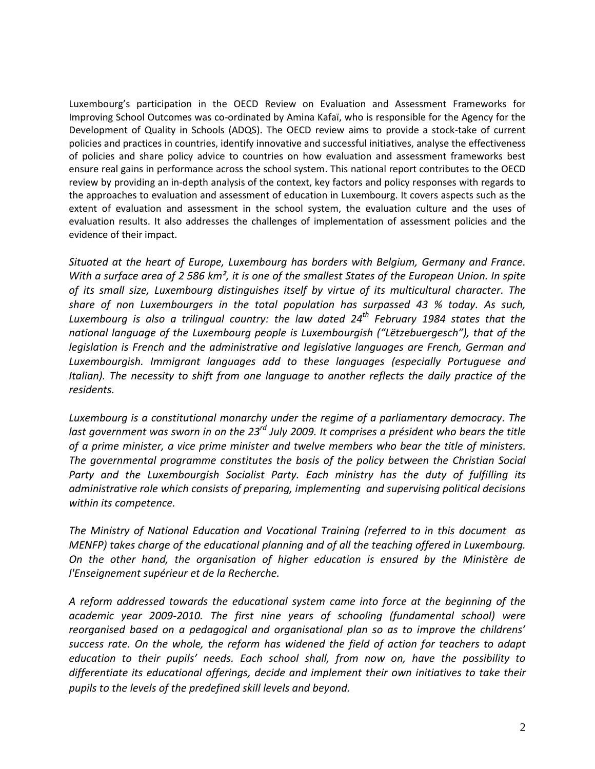Luxembourg's participation in the OECD Review on Evaluation and Assessment Frameworks for Improving School Outcomes was co-ordinated by Amina Kafaï, who is responsible for the Agency for the Development of Quality in Schools (ADQS). The OECD review aims to provide a stock-take of current policies and practices in countries, identify innovative and successful initiatives, analyse the effectiveness of policies and share policy advice to countries on how evaluation and assessment frameworks best ensure real gains in performance across the school system. This national report contributes to the OECD review by providing an in-depth analysis of the context, key factors and policy responses with regards to the approaches to evaluation and assessment of education in Luxembourg. It covers aspects such as the extent of evaluation and assessment in the school system, the evaluation culture and the uses of evaluation results. It also addresses the challenges of implementation of assessment policies and the evidence of their impact.

*Situated at the heart of Europe, Luxembourg has borders with Belgium, Germany and France. With a surface area of 2 586 km², it is one of the smallest States of the European Union. In spite of its small size, Luxembourg distinguishes itself by virtue of its multicultural character. The share of non Luxembourgers in the total population has surpassed 43 % today. As such, Luxembourg is also a trilingual country: the law dated 24th February 1984 states that the national language of the Luxembourg people is Luxembourgish ("Lëtzebuergesch"), that of the legislation is French and the administrative and legislative languages are French, German and Luxembourgish. Immigrant languages add to these languages (especially Portuguese and Italian). The necessity to shift from one language to another reflects the daily practice of the residents.*

*Luxembourg is a constitutional monarchy under the regime of a parliamentary democracy. The last government was sworn in on the 23rd July 2009. It comprises a président who bears the title of a prime minister, a vice prime minister and twelve members who bear the title of ministers. The governmental programme constitutes the basis of the policy between the Christian Social Party and the Luxembourgish Socialist Party. Each ministry has the duty of fulfilling its administrative role which consists of preparing, implementing and supervising political decisions within its competence.*

*The Ministry of National Education and Vocational Training (referred to in this document as MENFP) takes charge of the educational planning and of all the teaching offered in Luxembourg. On the other hand, the organisation of higher education is ensured by the Ministère de l'Enseignement supérieur et de la Recherche.*

*A reform addressed towards the educational system came into force at the beginning of the academic year 2009-2010. The first nine years of schooling (fundamental school) were reorganised based on a pedagogical and organisational plan so as to improve the childrens' success rate. On the whole, the reform has widened the field of action for teachers to adapt education to their pupils' needs. Each school shall, from now on, have the possibility to differentiate its educational offerings, decide and implement their own initiatives to take their pupils to the levels of the predefined skill levels and beyond.*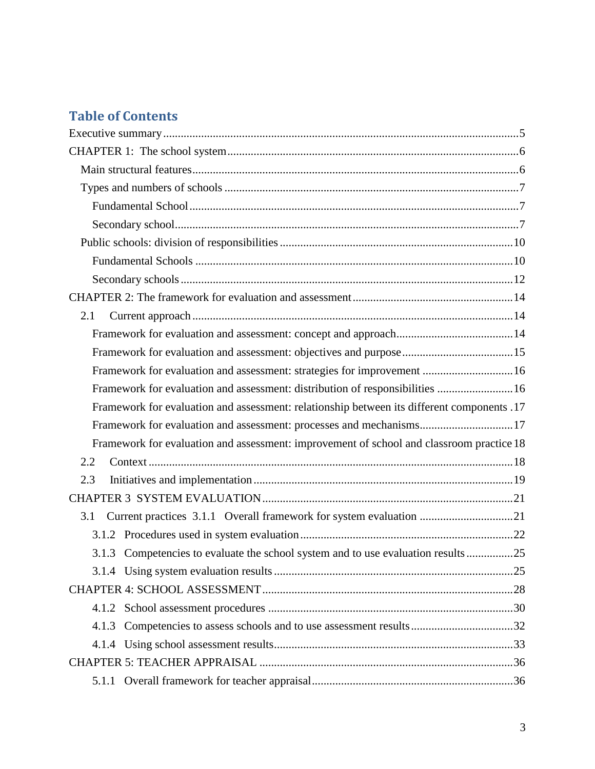# **Table of Contents**

| 2.1                                                                                        |  |
|--------------------------------------------------------------------------------------------|--|
|                                                                                            |  |
|                                                                                            |  |
| Framework for evaluation and assessment: strategies for improvement  16                    |  |
| Framework for evaluation and assessment: distribution of responsibilities  16              |  |
| Framework for evaluation and assessment: relationship between its different components .17 |  |
| Framework for evaluation and assessment: processes and mechanisms17                        |  |
| Framework for evaluation and assessment: improvement of school and classroom practice 18   |  |
| 2.2                                                                                        |  |
| 2.3                                                                                        |  |
|                                                                                            |  |
| Current practices 3.1.1 Overall framework for system evaluation 21<br>3.1                  |  |
|                                                                                            |  |
| 3.1.3 Competencies to evaluate the school system and to use evaluation results 25          |  |
|                                                                                            |  |
|                                                                                            |  |
| 4.1.2                                                                                      |  |
| Competencies to assess schools and to use assessment results32<br>4.1.3                    |  |
|                                                                                            |  |
|                                                                                            |  |
| 5.1.1                                                                                      |  |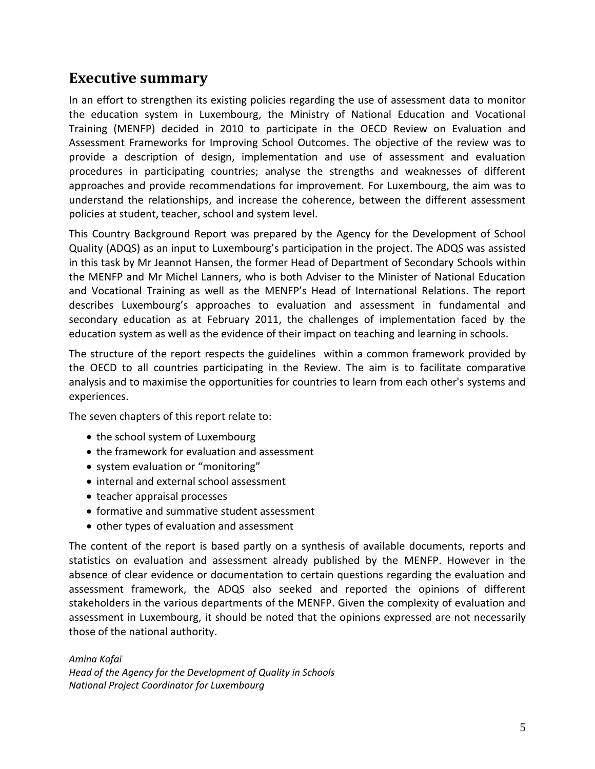# <span id="page-4-0"></span>**Executive summary**

In an effort to strengthen its existing policies regarding the use of assessment data to monitor the education system in Luxembourg, the Ministry of National Education and Vocational Training (MENFP) decided in 2010 to participate in the OECD Review on Evaluation and Assessment Frameworks for Improving School Outcomes. The objective of the review was to provide a description of design, implementation and use of assessment and evaluation procedures in participating countries; analyse the strengths and weaknesses of different approaches and provide recommendations for improvement. For Luxembourg, the aim was to understand the relationships, and increase the coherence, between the different assessment policies at student, teacher, school and system level.

This Country Background Report was prepared by the Agency for the Development of School Quality (ADQS) as an input to Luxembourg's participation in the project. The ADQS was assisted in this task by Mr Jeannot Hansen, the former Head of Department of Secondary Schools within the MENFP and Mr Michel Lanners, who is both Adviser to the Minister of National Education and Vocational Training as well as the MENFP's Head of International Relations. The report describes Luxembourg's approaches to evaluation and assessment in fundamental and secondary education as at February 2011, the challenges of implementation faced by the education system as well as the evidence of their impact on teaching and learning in schools.

The structure of the report respects the guidelines within a common framework provided by the OECD to all countries participating in the Review. The aim is to facilitate comparative analysis and to maximise the opportunities for countries to learn from each other's systems and experiences.

The seven chapters of this report relate to:

- the school system of Luxembourg
- the framework for evaluation and assessment
- system evaluation or "monitoring"
- internal and external school assessment
- teacher appraisal processes
- formative and summative student assessment
- other types of evaluation and assessment

The content of the report is based partly on a synthesis of available documents, reports and statistics on evaluation and assessment already published by the MENFP. However in the absence of clear evidence or documentation to certain questions regarding the evaluation and assessment framework, the ADQS also seeked and reported the opinions of different stakeholders in the various departments of the MENFP. Given the complexity of evaluation and assessment in Luxembourg, it should be noted that the opinions expressed are not necessarily those of the national authority.

*Amina Kafaï Head of the Agency for the Development of Quality in Schools National Project Coordinator for Luxembourg*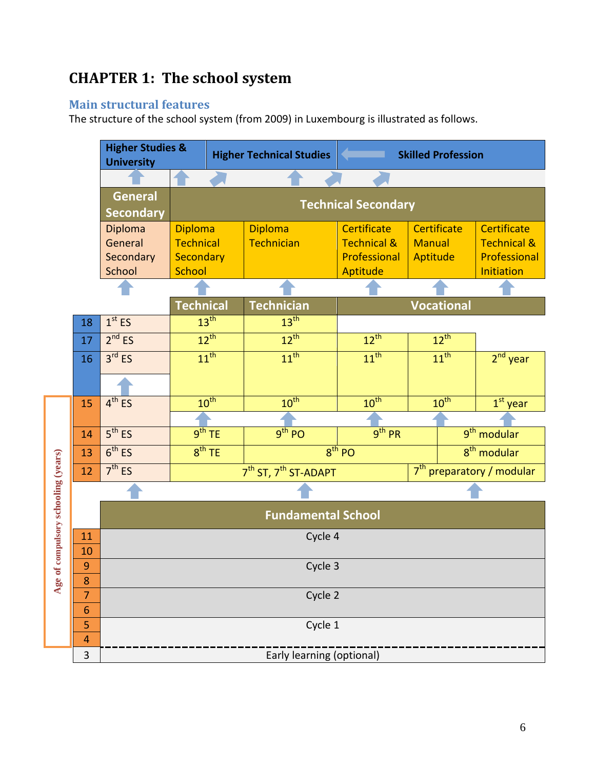# <span id="page-5-0"></span>**CHAPTER 1: The school system**

# <span id="page-5-1"></span>**Main structural features**

The structure of the school system (from 2009) in Luxembourg is illustrated as follows.

|                                 |                          | <b>Higher Studies &amp;</b><br><b>University</b> |                                                            |                    | <b>Higher Technical Studies</b>              | <b>Skilled Profession</b>             |                  |            |                            |  |
|---------------------------------|--------------------------|--------------------------------------------------|------------------------------------------------------------|--------------------|----------------------------------------------|---------------------------------------|------------------|------------|----------------------------|--|
|                                 |                          |                                                  |                                                            |                    |                                              |                                       |                  |            |                            |  |
|                                 |                          | <b>General</b><br><b>Technical Secondary</b>     |                                                            |                    |                                              |                                       |                  |            |                            |  |
|                                 |                          | <b>Secondary</b>                                 |                                                            |                    |                                              |                                       |                  |            |                            |  |
|                                 |                          | Diploma                                          | <b>Diploma</b>                                             |                    | <b>Diploma</b>                               | <b>Certificate</b>                    | Certificate      |            | <b>Certificate</b>         |  |
|                                 |                          | General                                          | <b>Technical</b>                                           |                    | Technician                                   | <b>Technical &amp;</b>                | <b>Manual</b>    |            | <b>Technical &amp;</b>     |  |
|                                 |                          | Secondary<br>School                              | Secondary<br><b>School</b>                                 |                    |                                              | Professional<br>Aptitude              | Aptitude         |            | Professional<br>Initiation |  |
|                                 |                          |                                                  |                                                            |                    |                                              |                                       |                  |            |                            |  |
|                                 |                          |                                                  | <b>Technical</b><br><b>Technician</b><br><b>Vocational</b> |                    |                                              |                                       |                  |            |                            |  |
|                                 | 18                       | 13 <sup>th</sup><br>13 <sup>th</sup><br>$1st$ ES |                                                            |                    |                                              |                                       |                  |            |                            |  |
|                                 | 17                       | 2 <sup>nd</sup> ES                               | $12^{th}$<br>$12^{th}$                                     |                    | $12^{th}$                                    | $12^{th}$                             |                  |            |                            |  |
|                                 |                          |                                                  |                                                            | $11^{\text{th}}$   | $11^{\text{th}}$                             |                                       | $11^{\text{th}}$ |            |                            |  |
|                                 | 3 <sup>rd</sup> ES<br>16 |                                                  |                                                            |                    | $11^{\text{th}}$                             |                                       |                  | $2nd$ year |                            |  |
|                                 |                          |                                                  |                                                            |                    |                                              |                                       |                  |            |                            |  |
|                                 | 15                       | $4^{th}$ ES                                      |                                                            | 10 <sup>th</sup>   | $10^{\text{th}}$                             | $10^{\text{th}}$                      |                  | $10^{th}$  | $1st$ year                 |  |
|                                 |                          |                                                  |                                                            |                    |                                              |                                       |                  |            |                            |  |
|                                 | 14                       | 5 <sup>th</sup> ES                               |                                                            | 9 <sup>th</sup> TE | $9th$ PO                                     | 9 <sup>th</sup> PR                    |                  |            | 9 <sup>th</sup> modular    |  |
|                                 | 13                       | 6 <sup>th</sup> ES                               |                                                            | 8 <sup>th</sup> TE | $8th$ PO                                     | $8th$ modular                         |                  |            |                            |  |
|                                 | 12                       | 7 <sup>th</sup> ES                               |                                                            |                    | 7 <sup>th</sup> ST, 7 <sup>th</sup> ST-ADAPT | 7 <sup>th</sup> preparatory / modular |                  |            |                            |  |
|                                 |                          |                                                  |                                                            |                    |                                              |                                       |                  |            |                            |  |
| of compulsory schooling (years) |                          | <b>Fundamental School</b>                        |                                                            |                    |                                              |                                       |                  |            |                            |  |
|                                 | 11                       | Cycle 4                                          |                                                            |                    |                                              |                                       |                  |            |                            |  |
|                                 | 10                       |                                                  |                                                            |                    |                                              |                                       |                  |            |                            |  |
|                                 | 9                        |                                                  |                                                            |                    | Cycle 3                                      |                                       |                  |            |                            |  |
| Age                             | 8<br>7                   |                                                  |                                                            |                    | Cycle 2                                      |                                       |                  |            |                            |  |
|                                 | $\overline{6}$           |                                                  |                                                            |                    |                                              |                                       |                  |            |                            |  |
|                                 | 5                        |                                                  |                                                            |                    | Cycle 1                                      |                                       |                  |            |                            |  |
|                                 | 4                        |                                                  |                                                            |                    |                                              |                                       |                  |            |                            |  |
|                                 | 3                        | Early learning (optional)                        |                                                            |                    |                                              |                                       |                  |            |                            |  |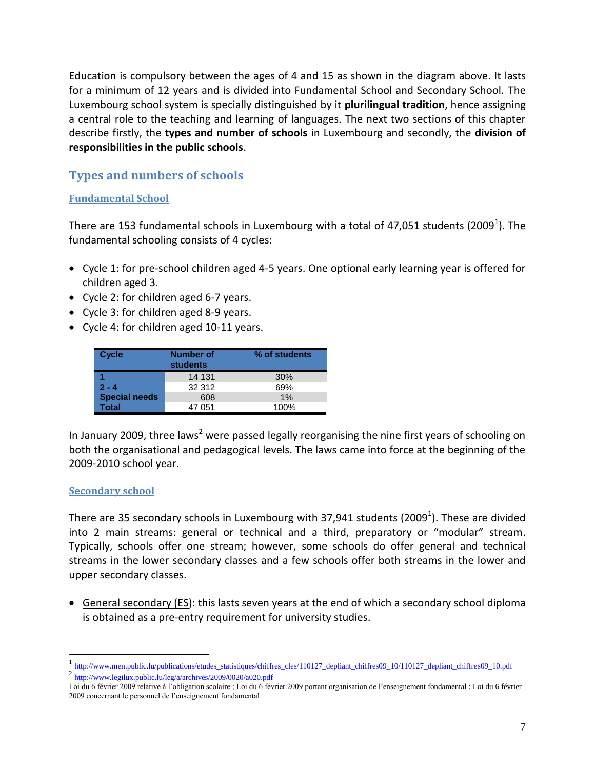Education is compulsory between the ages of 4 and 15 as shown in the diagram above. It lasts for a minimum of 12 years and is divided into Fundamental School and Secondary School. The Luxembourg school system is specially distinguished by it **plurilingual tradition**, hence assigning a central role to the teaching and learning of languages. The next two sections of this chapter describe firstly, the **types and number of schools** in Luxembourg and secondly, the **division of responsibilities in the public schools**.

# <span id="page-6-0"></span>**Types and numbers of schools**

#### <span id="page-6-1"></span>**Fundamental School**

There are 153 fundamental schools in Luxembourg with a total of 47,051 students (2009<sup>1</sup>). The fundamental schooling consists of 4 cycles:

- Cycle 1: for pre-school children aged 4-5 years. One optional early learning year is offered for children aged 3.
- Cycle 2: for children aged 6-7 years.
- Cycle 3: for children aged 8-9 years.
- Cycle 4: for children aged 10-11 years.

| <b>Cycle</b>         | Number of<br><b>students</b> | % of students |
|----------------------|------------------------------|---------------|
|                      | 14 131                       | 30%           |
| $2 - 4$              | 32 312                       | 69%           |
| <b>Special needs</b> | 608                          | 1%            |
| <b>Total</b>         | 47 051                       | 100%          |

In January 2009, three laws<sup>2</sup> were passed legally reorganising the nine first years of schooling on both the organisational and pedagogical levels. The laws came into force at the beginning of the 2009-2010 school year.

#### <span id="page-6-2"></span>**Secondary school**

 $\overline{a}$ 

There are 35 secondary schools in Luxembourg with 37,941 students (2009<sup>1</sup>). These are divided into 2 main streams: general or technical and a third, preparatory or "modular" stream. Typically, schools offer one stream; however, some schools do offer general and technical streams in the lower secondary classes and a few schools offer both streams in the lower and upper secondary classes.

 General secondary (ES): this lasts seven years at the end of which a secondary school diploma is obtained as a pre-entry requirement for university studies.

<sup>1</sup> [http://www.men.public.lu/publications/etudes\\_statistiques/chiffres\\_cles/110127\\_depliant\\_chiffres09\\_10/110127\\_depliant\\_chiffres09\\_10.pdf](http://www.men.public.lu/publications/etudes_statistiques/chiffres_cles/110127_depliant_chiffres09_10/110127_depliant_chiffres09_10.pdf)

<sup>&</sup>lt;sup>2</sup> <http://www.legilux.public.lu/leg/a/archives/2009/0020/a020.pdf>

Loi du 6 février 2009 relative à l'obligation scolaire ; Loi du 6 février 2009 portant organisation de l'enseignement fondamental ; Loi du 6 février 2009 concernant le personnel de l'enseignement fondamental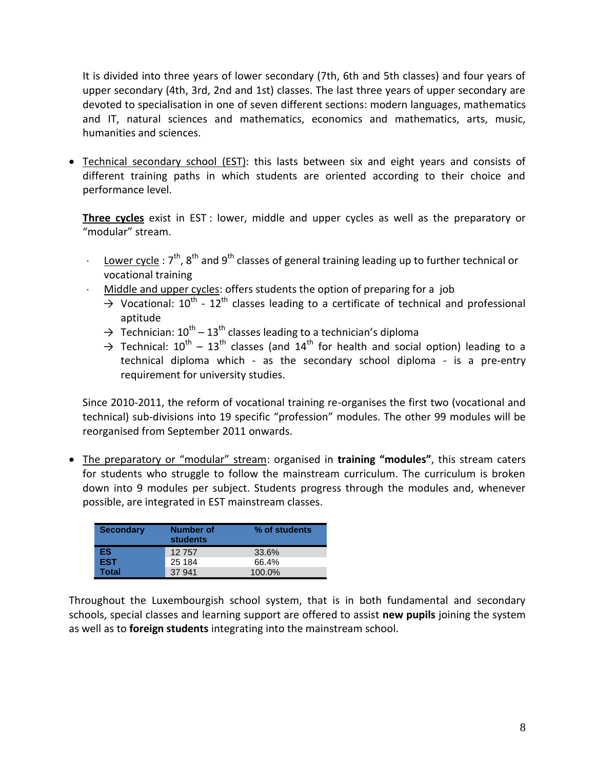It is divided into three years of lower secondary (7th, 6th and 5th classes) and four years of upper secondary (4th, 3rd, 2nd and 1st) classes. The last three years of upper secondary are devoted to specialisation in one of seven different sections: modern languages, mathematics and IT, natural sciences and mathematics, economics and mathematics, arts, music, humanities and sciences.

 Technical secondary school (EST): this lasts between six and eight years and consists of different training paths in which students are oriented according to their choice and performance level.

**Three cycles** exist in EST : lower, middle and upper cycles as well as the preparatory or "modular" stream.

- $\cdot$  Lower cycle : 7<sup>th</sup>, 8<sup>th</sup> and 9<sup>th</sup> classes of general training leading up to further technical or vocational training
- Middle and upper cycles: offers students the option of preparing for a job
	- $\rightarrow$  Vocational: 10<sup>th</sup> 12<sup>th</sup> classes leading to a certificate of technical and professional aptitude
	- $\rightarrow$  Technician: 10<sup>th</sup> 13<sup>th</sup> classes leading to a technician's diploma
	- $\rightarrow$  Technical: 10<sup>th</sup> 13<sup>th</sup> classes (and 14<sup>th</sup> for health and social option) leading to a technical diploma which - as the secondary school diploma - is a pre-entry requirement for university studies.

Since 2010-2011, the reform of vocational training re-organises the first two (vocational and technical) sub-divisions into 19 specific "profession" modules. The other 99 modules will be reorganised from September 2011 onwards.

 The preparatory or "modular" stream: organised in **training "modules"**, this stream caters for students who struggle to follow the mainstream curriculum. The curriculum is broken down into 9 modules per subject. Students progress through the modules and, whenever possible, are integrated in EST mainstream classes.

| <b>Secondary</b> | <b>Number of</b><br><b>students</b> | % of students |
|------------------|-------------------------------------|---------------|
| ES               | 12757                               | 33.6%         |
| <b>EST</b>       | 25 184                              | 66.4%         |
| <b>Total</b>     | 37 941                              | 100.0%        |

Throughout the Luxembourgish school system, that is in both fundamental and secondary schools, special classes and learning support are offered to assist **new pupils** joining the system as well as to **foreign students** integrating into the mainstream school.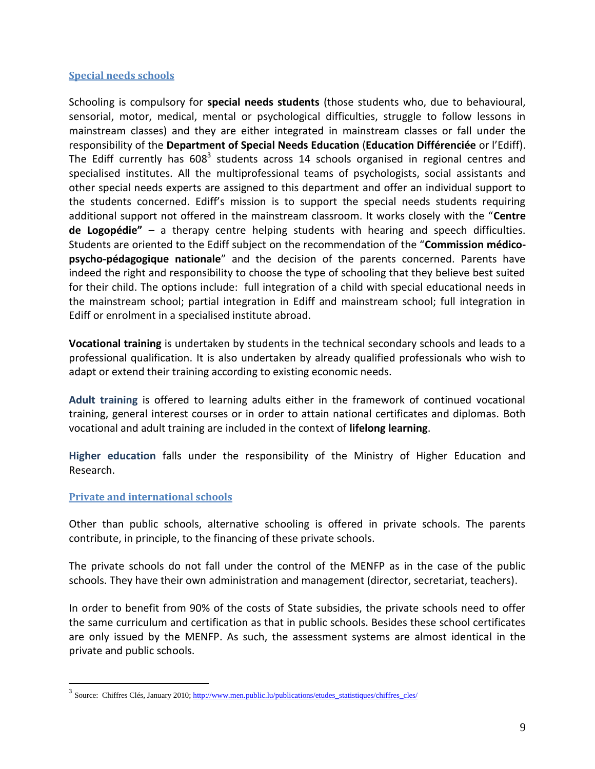#### **Special needs schools**

Schooling is compulsory for **special needs students** (those students who, due to behavioural, sensorial, motor, medical, mental or psychological difficulties, struggle to follow lessons in mainstream classes) and they are either integrated in mainstream classes or fall under the responsibility of the **Department of Special Needs Education** (**Education Différenciée** or l'Ediff). The Ediff currently has  $608^3$  students across 14 schools organised in regional centres and specialised institutes. All the multiprofessional teams of psychologists, social assistants and other special needs experts are assigned to this department and offer an individual support to the students concerned. Ediff's mission is to support the special needs students requiring additional support not offered in the mainstream classroom. It works closely with the "**Centre de Logopédie"** – a therapy centre helping students with hearing and speech difficulties. Students are oriented to the Ediff subject on the recommendation of the "**Commission médicopsycho-pédagogique nationale**" and the decision of the parents concerned. Parents have indeed the right and responsibility to choose the type of schooling that they believe best suited for their child. The options include: full integration of a child with special educational needs in the mainstream school; partial integration in Ediff and mainstream school; full integration in Ediff or enrolment in a specialised institute abroad.

**Vocational training** is undertaken by students in the technical secondary schools and leads to a professional qualification. It is also undertaken by already qualified professionals who wish to adapt or extend their training according to existing economic needs.

**Adult training** is offered to learning adults either in the framework of continued vocational training, general interest courses or in order to attain national certificates and diplomas. Both vocational and adult training are included in the context of **lifelong learning**.

**Higher education** falls under the responsibility of the Ministry of Higher Education and Research.

#### **Private and international schools**

 $\overline{a}$ 

Other than public schools, alternative schooling is offered in private schools. The parents contribute, in principle, to the financing of these private schools.

The private schools do not fall under the control of the MENFP as in the case of the public schools. They have their own administration and management (director, secretariat, teachers).

In order to benefit from 90% of the costs of State subsidies, the private schools need to offer the same curriculum and certification as that in public schools. Besides these school certificates are only issued by the MENFP. As such, the assessment systems are almost identical in the private and public schools.

<sup>&</sup>lt;sup>3</sup> Source: Chiffres Clés, January 2010[; http://www.men.public.lu/publications/etudes\\_statistiques/chiffres\\_cles/](http://www.men.public.lu/publications/etudes_statistiques/chiffres_cles/)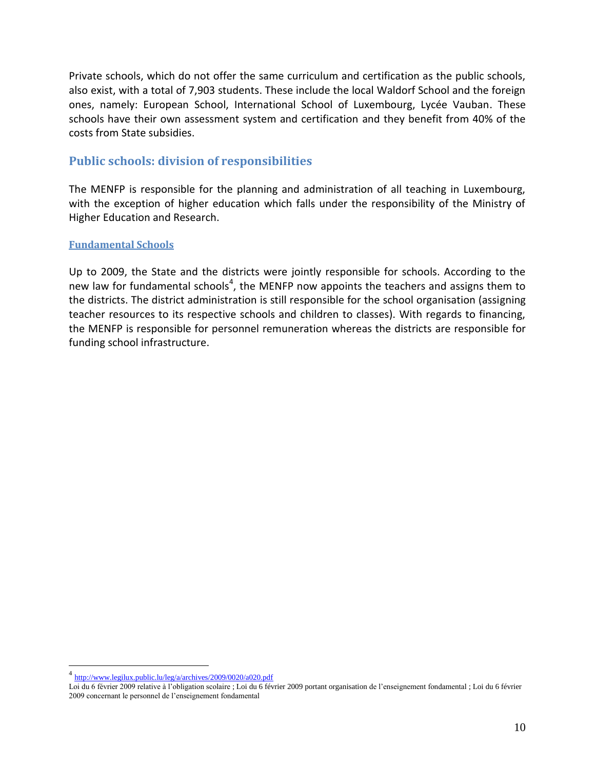Private schools, which do not offer the same curriculum and certification as the public schools, also exist, with a total of 7,903 students. These include the local Waldorf School and the foreign ones, namely: European School, International School of Luxembourg, Lycée Vauban. These schools have their own assessment system and certification and they benefit from 40% of the costs from State subsidies.

# <span id="page-9-0"></span>**Public schools: division of responsibilities**

The MENFP is responsible for the planning and administration of all teaching in Luxembourg, with the exception of higher education which falls under the responsibility of the Ministry of Higher Education and Research.

#### <span id="page-9-1"></span>**Fundamental Schools**

Up to 2009, the State and the districts were jointly responsible for schools. According to the new law for fundamental schools<sup>4</sup>, the MENFP now appoints the teachers and assigns them to the districts. The district administration is still responsible for the school organisation (assigning teacher resources to its respective schools and children to classes). With regards to financing, the MENFP is responsible for personnel remuneration whereas the districts are responsible for funding school infrastructure.

<sup>&</sup>lt;sup>4</sup> <http://www.legilux.public.lu/leg/a/archives/2009/0020/a020.pdf>

Loi du 6 février 2009 relative à l'obligation scolaire ; Loi du 6 février 2009 portant organisation de l'enseignement fondamental ; Loi du 6 février 2009 concernant le personnel de l'enseignement fondamental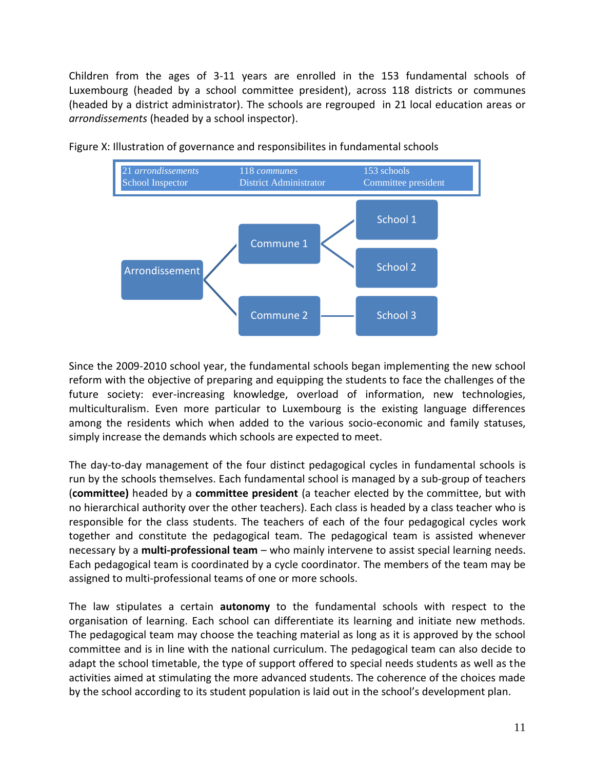Children from the ages of 3-11 years are enrolled in the 153 fundamental schools of Luxembourg (headed by a school committee president), across 118 districts or communes (headed by a district administrator). The schools are regrouped in 21 local education areas or *arrondissements* (headed by a school inspector).



Figure X: Illustration of governance and responsibilites in fundamental schools

Since the 2009-2010 school year, the fundamental schools began implementing the new school reform with the objective of preparing and equipping the students to face the challenges of the future society: ever-increasing knowledge, overload of information, new technologies, multiculturalism. Even more particular to Luxembourg is the existing language differences among the residents which when added to the various socio-economic and family statuses, simply increase the demands which schools are expected to meet.

The day-to-day management of the four distinct pedagogical cycles in fundamental schools is run by the schools themselves. Each fundamental school is managed by a sub-group of teachers (**committee)** headed by a **committee president** (a teacher elected by the committee, but with no hierarchical authority over the other teachers). Each class is headed by a class teacher who is responsible for the class students. The teachers of each of the four pedagogical cycles work together and constitute the pedagogical team. The pedagogical team is assisted whenever necessary by a **multi-professional team** – who mainly intervene to assist special learning needs. Each pedagogical team is coordinated by a cycle coordinator. The members of the team may be assigned to multi-professional teams of one or more schools.

The law stipulates a certain **autonomy** to the fundamental schools with respect to the organisation of learning. Each school can differentiate its learning and initiate new methods. The pedagogical team may choose the teaching material as long as it is approved by the school committee and is in line with the national curriculum. The pedagogical team can also decide to adapt the school timetable, the type of support offered to special needs students as well as the activities aimed at stimulating the more advanced students. The coherence of the choices made by the school according to its student population is laid out in the school's development plan.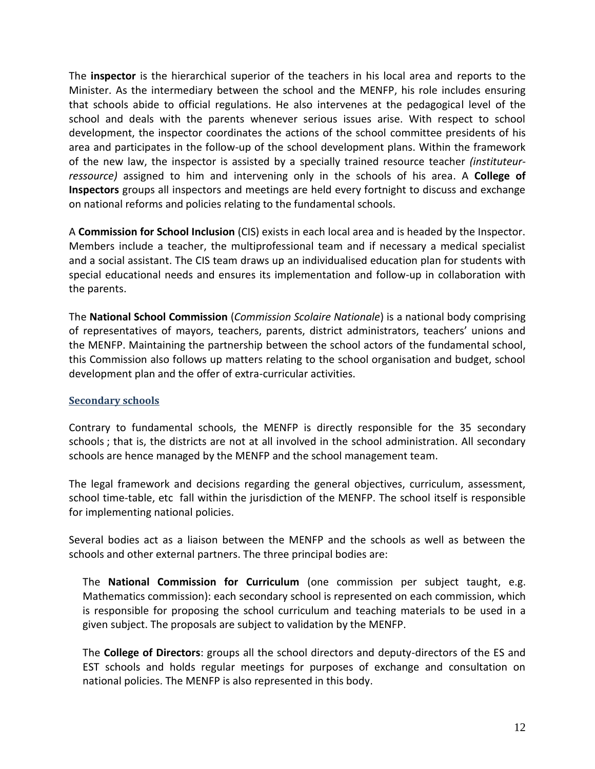The **inspector** is the hierarchical superior of the teachers in his local area and reports to the Minister. As the intermediary between the school and the MENFP, his role includes ensuring that schools abide to official regulations. He also intervenes at the pedagogical level of the school and deals with the parents whenever serious issues arise. With respect to school development, the inspector coordinates the actions of the school committee presidents of his area and participates in the follow-up of the school development plans. Within the framework of the new law, the inspector is assisted by a specially trained resource teacher *(instituteurressource)* assigned to him and intervening only in the schools of his area. A **College of Inspectors** groups all inspectors and meetings are held every fortnight to discuss and exchange on national reforms and policies relating to the fundamental schools.

A **Commission for School Inclusion** (CIS) exists in each local area and is headed by the Inspector. Members include a teacher, the multiprofessional team and if necessary a medical specialist and a social assistant. The CIS team draws up an individualised education plan for students with special educational needs and ensures its implementation and follow-up in collaboration with the parents.

The **National School Commission** (*Commission Scolaire Nationale*) is a national body comprising of representatives of mayors, teachers, parents, district administrators, teachers' unions and the MENFP. Maintaining the partnership between the school actors of the fundamental school, this Commission also follows up matters relating to the school organisation and budget, school development plan and the offer of extra-curricular activities.

#### <span id="page-11-0"></span>**Secondary schools**

Contrary to fundamental schools, the MENFP is directly responsible for the 35 secondary schools ; that is, the districts are not at all involved in the school administration. All secondary schools are hence managed by the MENFP and the school management team.

The legal framework and decisions regarding the general objectives, curriculum, assessment, school time-table, etc fall within the jurisdiction of the MENFP. The school itself is responsible for implementing national policies.

Several bodies act as a liaison between the MENFP and the schools as well as between the schools and other external partners. The three principal bodies are:

The **National Commission for Curriculum** (one commission per subject taught, e.g. Mathematics commission): each secondary school is represented on each commission, which is responsible for proposing the school curriculum and teaching materials to be used in a given subject. The proposals are subject to validation by the MENFP.

The **College of Directors**: groups all the school directors and deputy-directors of the ES and EST schools and holds regular meetings for purposes of exchange and consultation on national policies. The MENFP is also represented in this body.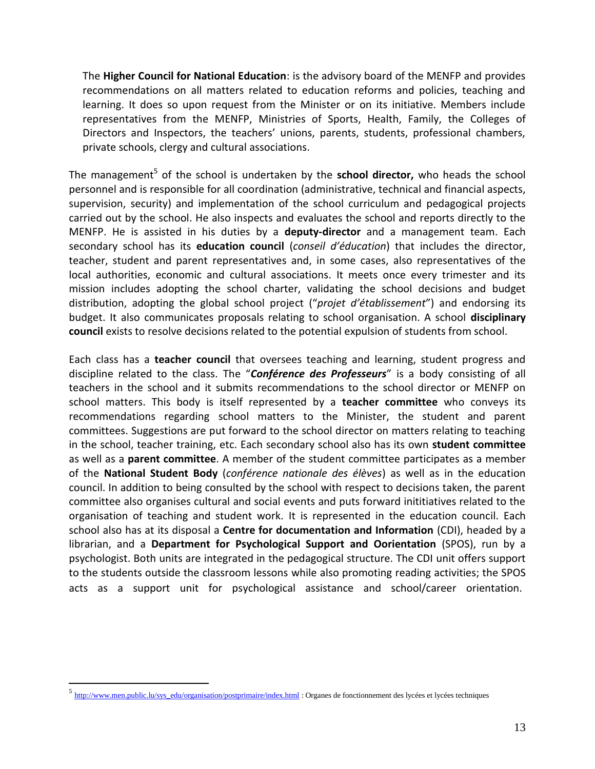The **Higher Council for National Education**: is the advisory board of the MENFP and provides recommendations on all matters related to education reforms and policies, teaching and learning. It does so upon request from the Minister or on its initiative. Members include representatives from the MENFP, Ministries of Sports, Health, Family, the Colleges of Directors and Inspectors, the teachers' unions, parents, students, professional chambers, private schools, clergy and cultural associations.

The management<sup>5</sup> of the school is undertaken by the school director, who heads the school personnel and is responsible for all coordination (administrative, technical and financial aspects, supervision, security) and implementation of the school curriculum and pedagogical projects carried out by the school. He also inspects and evaluates the school and reports directly to the MENFP. He is assisted in his duties by a **deputy-director** and a management team. Each secondary school has its **education council** (*conseil d'éducation*) that includes the director, teacher, student and parent representatives and, in some cases, also representatives of the local authorities, economic and cultural associations. It meets once every trimester and its mission includes adopting the school charter, validating the school decisions and budget distribution, adopting the global school project ("*projet d'établissement*") and endorsing its budget. It also communicates proposals relating to school organisation. A school **disciplinary council** exists to resolve decisions related to the potential expulsion of students from school.

Each class has a **teacher council** that oversees teaching and learning, student progress and discipline related to the class. The "*Conférence des Professeurs*" is a body consisting of all teachers in the school and it submits recommendations to the school director or MENFP on school matters. This body is itself represented by a **teacher committee** who conveys its recommendations regarding school matters to the Minister, the student and parent committees. Suggestions are put forward to the school director on matters relating to teaching in the school, teacher training, etc. Each secondary school also has its own **student committee** as well as a **parent committee**. A member of the student committee participates as a member of the **National Student Body** (*conférence nationale des élèves*) as well as in the education council. In addition to being consulted by the school with respect to decisions taken, the parent committee also organises cultural and social events and puts forward inititiatives related to the organisation of teaching and student work. It is represented in the education council. Each school also has at its disposal a **Centre for documentation and Information** (CDI), headed by a librarian, and a **Department for Psychological Support and Oorientation** (SPOS), run by a psychologist. Both units are integrated in the pedagogical structure. The CDI unit offers support to the students outside the classroom lessons while also promoting reading activities; the SPOS acts as a support unit for psychological assistance and school/career orientation.

<sup>5</sup> [http://www.men.public.lu/sys\\_edu/organisation/postprimaire/index.html](http://www.men.public.lu/sys_edu/organisation/postprimaire/index.html) : Organes de fonctionnement des lycées et lycées techniques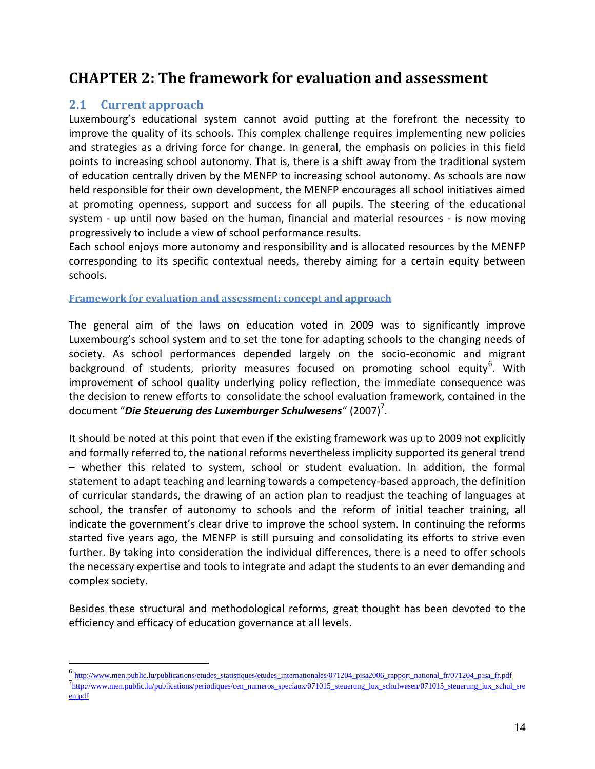# <span id="page-13-0"></span>**CHAPTER 2: The framework for evaluation and assessment**

# <span id="page-13-1"></span>**2.1 Current approach**

 $\overline{a}$ 

Luxembourg's educational system cannot avoid putting at the forefront the necessity to improve the quality of its schools. This complex challenge requires implementing new policies and strategies as a driving force for change. In general, the emphasis on policies in this field points to increasing school autonomy. That is, there is a shift away from the traditional system of education centrally driven by the MENFP to increasing school autonomy. As schools are now held responsible for their own development, the MENFP encourages all school initiatives aimed at promoting openness, support and success for all pupils. The steering of the educational system - up until now based on the human, financial and material resources - is now moving progressively to include a view of school performance results.

Each school enjoys more autonomy and responsibility and is allocated resources by the MENFP corresponding to its specific contextual needs, thereby aiming for a certain equity between schools.

#### <span id="page-13-2"></span>**Framework for evaluation and assessment: concept and approach**

The general aim of the laws on education voted in 2009 was to significantly improve Luxembourg's school system and to set the tone for adapting schools to the changing needs of society. As school performances depended largely on the socio-economic and migrant background of students, priority measures focused on promoting school equity<sup>6</sup>. With improvement of school quality underlying policy reflection, the immediate consequence was the decision to renew efforts to consolidate the school evaluation framework, contained in the document "*Die Steuerung des Luxemburger Schulwesens"* **(2007)<sup>7</sup>.** 

It should be noted at this point that even if the existing framework was up to 2009 not explicitly and formally referred to, the national reforms nevertheless implicity supported its general trend – whether this related to system, school or student evaluation. In addition, the formal statement to adapt teaching and learning towards a competency-based approach, the definition of curricular standards, the drawing of an action plan to readjust the teaching of languages at school, the transfer of autonomy to schools and the reform of initial teacher training, all indicate the government's clear drive to improve the school system. In continuing the reforms started five years ago, the MENFP is still pursuing and consolidating its efforts to strive even further. By taking into consideration the individual differences, there is a need to offer schools the necessary expertise and tools to integrate and adapt the students to an ever demanding and complex society.

Besides these structural and methodological reforms, great thought has been devoted to the efficiency and efficacy of education governance at all levels.

<sup>&</sup>lt;sup>6</sup> [http://www.men.public.lu/publications/etudes\\_statistiques/etudes\\_internationales/071204\\_pisa2006\\_rapport\\_national\\_fr/071204\\_pisa\\_fr.pdf](http://www.men.public.lu/publications/etudes_statistiques/etudes_internationales/071204_pisa2006_rapport_national_fr/071204_pisa_fr.pdf) 7<br>[http://www.men.public.lu/publications/periodiques/cen\\_numeros\\_speciaux/071015\\_steuerung\\_lux\\_schulwesen/071015\\_steuerung\\_lux\\_schul\\_sre](http://www.men.public.lu/publications/periodiques/cen_numeros_speciaux/071015_steuerung_lux_schulwesen/071015_steuerung_lux_schul_sreen.pdf) [en.pdf](http://www.men.public.lu/publications/periodiques/cen_numeros_speciaux/071015_steuerung_lux_schulwesen/071015_steuerung_lux_schul_sreen.pdf)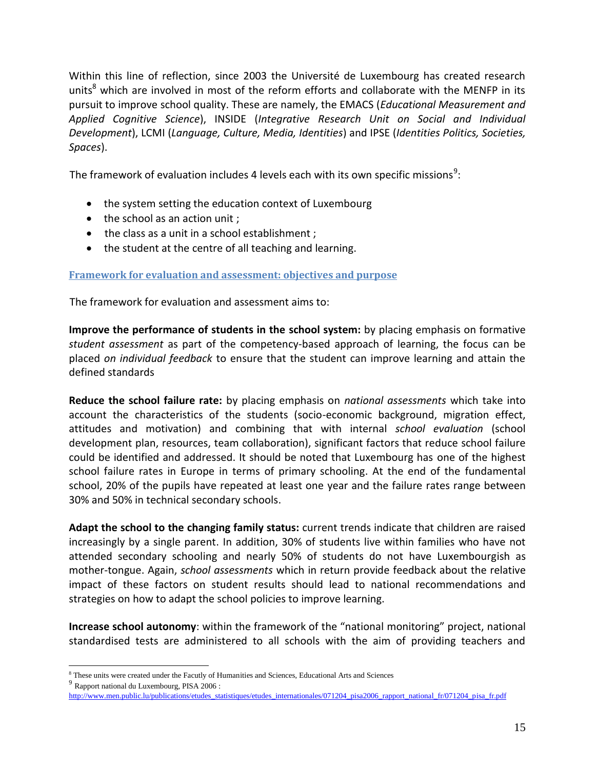Within this line of reflection, since 2003 the Université de Luxembourg has created research units<sup>8</sup> which are involved in most of the reform efforts and collaborate with the MENFP in its pursuit to improve school quality. These are namely, the EMACS (*Educational Measurement and Applied Cognitive Science*), INSIDE (*Integrative Research Unit on Social and Individual Development*), LCMI (*Language, Culture, Media, Identities*) and IPSE (*Identities Politics, Societies, Spaces*).

The framework of evaluation includes 4 levels each with its own specific missions $^9$ :

- the system setting the education context of Luxembourg
- the school as an action unit ;
- the class as a unit in a school establishment ;
- the student at the centre of all teaching and learning.

<span id="page-14-0"></span>**Framework for evaluation and assessment: objectives and purpose**

The framework for evaluation and assessment aims to:

**Improve the performance of students in the school system:** by placing emphasis on formative *student assessment* as part of the competency-based approach of learning, the focus can be placed *on individual feedback* to ensure that the student can improve learning and attain the defined standards

**Reduce the school failure rate:** by placing emphasis on *national assessments* which take into account the characteristics of the students (socio-economic background, migration effect, attitudes and motivation) and combining that with internal *school evaluation* (school development plan, resources, team collaboration), significant factors that reduce school failure could be identified and addressed. It should be noted that Luxembourg has one of the highest school failure rates in Europe in terms of primary schooling. At the end of the fundamental school, 20% of the pupils have repeated at least one year and the failure rates range between 30% and 50% in technical secondary schools.

**Adapt the school to the changing family status:** current trends indicate that children are raised increasingly by a single parent. In addition, 30% of students live within families who have not attended secondary schooling and nearly 50% of students do not have Luxembourgish as mother-tongue. Again, *school assessments* which in return provide feedback about the relative impact of these factors on student results should lead to national recommendations and strategies on how to adapt the school policies to improve learning.

**Increase school autonomy**: within the framework of the "national monitoring" project, national standardised tests are administered to all schools with the aim of providing teachers and

9 Rapport national du Luxembourg, PISA 2006 :

 $\overline{a}$ <sup>8</sup> These units were created under the Facutly of Humanities and Sciences, Educational Arts and Sciences

[http://www.men.public.lu/publications/etudes\\_statistiques/etudes\\_internationales/071204\\_pisa2006\\_rapport\\_national\\_fr/071204\\_pisa\\_fr.pdf](http://www.men.public.lu/publications/etudes_statistiques/etudes_internationales/071204_pisa2006_rapport_national_fr/071204_pisa_fr.pdf)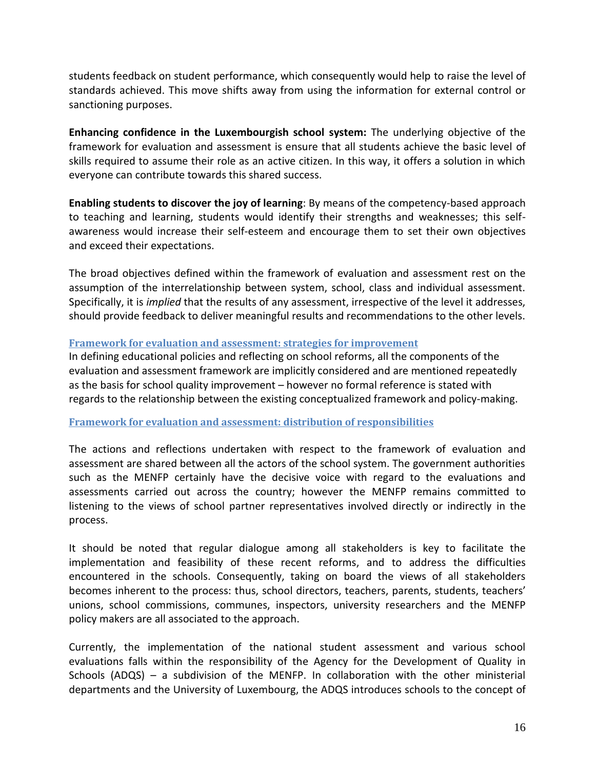students feedback on student performance, which consequently would help to raise the level of standards achieved. This move shifts away from using the information for external control or sanctioning purposes.

**Enhancing confidence in the Luxembourgish school system:** The underlying objective of the framework for evaluation and assessment is ensure that all students achieve the basic level of skills required to assume their role as an active citizen. In this way, it offers a solution in which everyone can contribute towards this shared success.

**Enabling students to discover the joy of learning**: By means of the competency-based approach to teaching and learning, students would identify their strengths and weaknesses; this selfawareness would increase their self-esteem and encourage them to set their own objectives and exceed their expectations.

The broad objectives defined within the framework of evaluation and assessment rest on the assumption of the interrelationship between system, school, class and individual assessment. Specifically, it is *implied* that the results of any assessment, irrespective of the level it addresses, should provide feedback to deliver meaningful results and recommendations to the other levels.

#### <span id="page-15-0"></span>**Framework for evaluation and assessment: strategies for improvement**

In defining educational policies and reflecting on school reforms, all the components of the evaluation and assessment framework are implicitly considered and are mentioned repeatedly as the basis for school quality improvement – however no formal reference is stated with regards to the relationship between the existing conceptualized framework and policy-making.

#### <span id="page-15-1"></span>**Framework for evaluation and assessment: distribution of responsibilities**

The actions and reflections undertaken with respect to the framework of evaluation and assessment are shared between all the actors of the school system. The government authorities such as the MENFP certainly have the decisive voice with regard to the evaluations and assessments carried out across the country; however the MENFP remains committed to listening to the views of school partner representatives involved directly or indirectly in the process.

It should be noted that regular dialogue among all stakeholders is key to facilitate the implementation and feasibility of these recent reforms, and to address the difficulties encountered in the schools. Consequently, taking on board the views of all stakeholders becomes inherent to the process: thus, school directors, teachers, parents, students, teachers' unions, school commissions, communes, inspectors, university researchers and the MENFP policy makers are all associated to the approach.

Currently, the implementation of the national student assessment and various school evaluations falls within the responsibility of the Agency for the Development of Quality in Schools (ADQS) – a subdivision of the MENFP. In collaboration with the other ministerial departments and the University of Luxembourg, the ADQS introduces schools to the concept of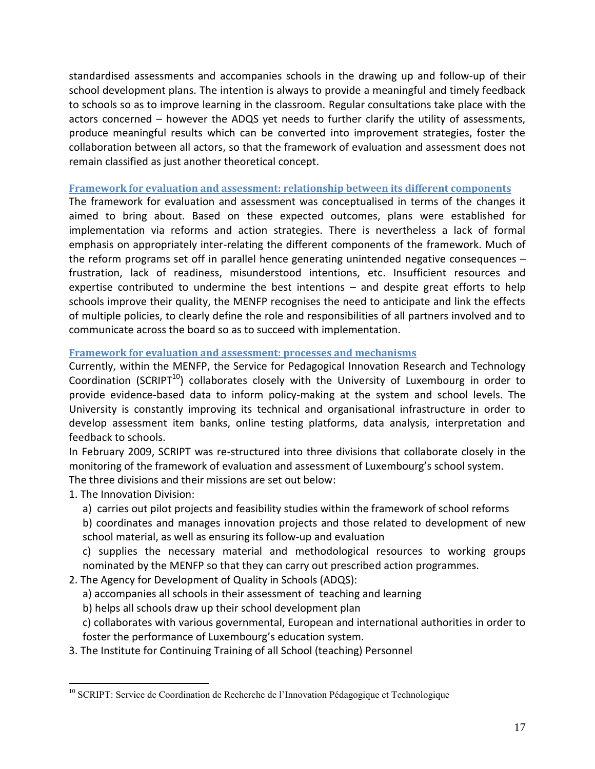standardised assessments and accompanies schools in the drawing up and follow-up of their school development plans. The intention is always to provide a meaningful and timely feedback to schools so as to improve learning in the classroom. Regular consultations take place with the actors concerned – however the ADQS yet needs to further clarify the utility of assessments, produce meaningful results which can be converted into improvement strategies, foster the collaboration between all actors, so that the framework of evaluation and assessment does not remain classified as just another theoretical concept.

#### <span id="page-16-0"></span>**Framework for evaluation and assessment: relationship between its different components**

The framework for evaluation and assessment was conceptualised in terms of the changes it aimed to bring about. Based on these expected outcomes, plans were established for implementation via reforms and action strategies. There is nevertheless a lack of formal emphasis on appropriately inter-relating the different components of the framework. Much of the reform programs set off in parallel hence generating unintended negative consequences – frustration, lack of readiness, misunderstood intentions, etc. Insufficient resources and expertise contributed to undermine the best intentions – and despite great efforts to help schools improve their quality, the MENFP recognises the need to anticipate and link the effects of multiple policies, to clearly define the role and responsibilities of all partners involved and to communicate across the board so as to succeed with implementation.

#### <span id="page-16-1"></span>**Framework for evaluation and assessment: processes and mechanisms**

Currently, within the MENFP, the Service for Pedagogical Innovation Research and Technology Coordination (SCRIPT $^{10}$ ) collaborates closely with the University of Luxembourg in order to provide evidence-based data to inform policy-making at the system and school levels. The University is constantly improving its technical and organisational infrastructure in order to develop assessment item banks, online testing platforms, data analysis, interpretation and feedback to schools.

In February 2009, SCRIPT was re-structured into three divisions that collaborate closely in the monitoring of the framework of evaluation and assessment of Luxembourg's school system. The three divisions and their missions are set out below:

1. The Innovation Division:

 $\overline{a}$ 

- a) carries out pilot projects and feasibility studies within the framework of school reforms
- b) coordinates and manages innovation projects and those related to development of new school material, as well as ensuring its follow-up and evaluation

c) supplies the necessary material and methodological resources to working groups nominated by the MENFP so that they can carry out prescribed action programmes.

- 2. The Agency for Development of Quality in Schools (ADQS):
	- a) accompanies all schools in their assessment of teaching and learning
	- b) helps all schools draw up their school development plan
	- c) collaborates with various governmental, European and international authorities in order to foster the performance of Luxembourg's education system.
- 3. The Institute for Continuing Training of all School (teaching) Personnel

<sup>&</sup>lt;sup>10</sup> SCRIPT: Service de Coordination de Recherche de l'Innovation Pédagogique et Technologique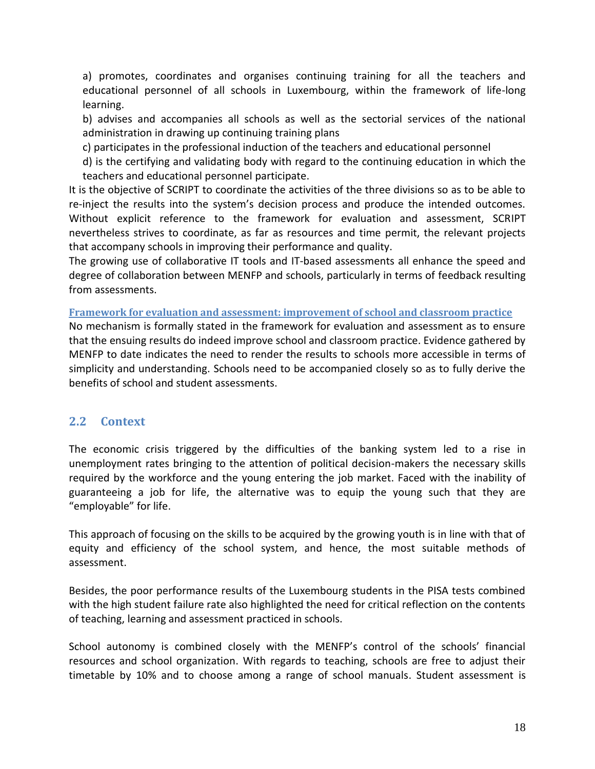a) promotes, coordinates and organises continuing training for all the teachers and educational personnel of all schools in Luxembourg, within the framework of life-long learning.

b) advises and accompanies all schools as well as the sectorial services of the national administration in drawing up continuing training plans

c) participates in the professional induction of the teachers and educational personnel

d) is the certifying and validating body with regard to the continuing education in which the teachers and educational personnel participate.

It is the objective of SCRIPT to coordinate the activities of the three divisions so as to be able to re-inject the results into the system's decision process and produce the intended outcomes. Without explicit reference to the framework for evaluation and assessment, SCRIPT nevertheless strives to coordinate, as far as resources and time permit, the relevant projects that accompany schools in improving their performance and quality.

The growing use of collaborative IT tools and IT-based assessments all enhance the speed and degree of collaboration between MENFP and schools, particularly in terms of feedback resulting from assessments.

<span id="page-17-0"></span>**Framework for evaluation and assessment: improvement of school and classroom practice**

No mechanism is formally stated in the framework for evaluation and assessment as to ensure that the ensuing results do indeed improve school and classroom practice. Evidence gathered by MENFP to date indicates the need to render the results to schools more accessible in terms of simplicity and understanding. Schools need to be accompanied closely so as to fully derive the benefits of school and student assessments.

# <span id="page-17-1"></span>**2.2 Context**

The economic crisis triggered by the difficulties of the banking system led to a rise in unemployment rates bringing to the attention of political decision-makers the necessary skills required by the workforce and the young entering the job market. Faced with the inability of guaranteeing a job for life, the alternative was to equip the young such that they are "employable" for life.

This approach of focusing on the skills to be acquired by the growing youth is in line with that of equity and efficiency of the school system, and hence, the most suitable methods of assessment.

Besides, the poor performance results of the Luxembourg students in the PISA tests combined with the high student failure rate also highlighted the need for critical reflection on the contents of teaching, learning and assessment practiced in schools.

School autonomy is combined closely with the MENFP's control of the schools' financial resources and school organization. With regards to teaching, schools are free to adjust their timetable by 10% and to choose among a range of school manuals. Student assessment is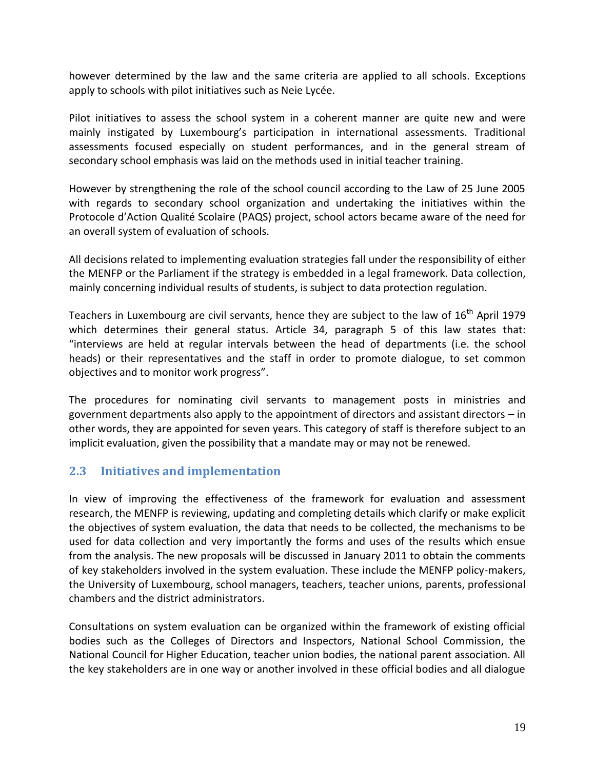however determined by the law and the same criteria are applied to all schools. Exceptions apply to schools with pilot initiatives such as Neie Lycée.

Pilot initiatives to assess the school system in a coherent manner are quite new and were mainly instigated by Luxembourg's participation in international assessments. Traditional assessments focused especially on student performances, and in the general stream of secondary school emphasis was laid on the methods used in initial teacher training.

However by strengthening the role of the school council according to the Law of 25 June 2005 with regards to secondary school organization and undertaking the initiatives within the Protocole d'Action Qualité Scolaire (PAQS) project, school actors became aware of the need for an overall system of evaluation of schools.

All decisions related to implementing evaluation strategies fall under the responsibility of either the MENFP or the Parliament if the strategy is embedded in a legal framework. Data collection, mainly concerning individual results of students, is subject to data protection regulation.

Teachers in Luxembourg are civil servants, hence they are subject to the law of  $16<sup>th</sup>$  April 1979 which determines their general status. Article 34, paragraph 5 of this law states that: "interviews are held at regular intervals between the head of departments (i.e. the school heads) or their representatives and the staff in order to promote dialogue, to set common objectives and to monitor work progress".

The procedures for nominating civil servants to management posts in ministries and government departments also apply to the appointment of directors and assistant directors – in other words, they are appointed for seven years. This category of staff is therefore subject to an implicit evaluation, given the possibility that a mandate may or may not be renewed.

# <span id="page-18-0"></span>**2.3 Initiatives and implementation**

In view of improving the effectiveness of the framework for evaluation and assessment research, the MENFP is reviewing, updating and completing details which clarify or make explicit the objectives of system evaluation, the data that needs to be collected, the mechanisms to be used for data collection and very importantly the forms and uses of the results which ensue from the analysis. The new proposals will be discussed in January 2011 to obtain the comments of key stakeholders involved in the system evaluation. These include the MENFP policy-makers, the University of Luxembourg, school managers, teachers, teacher unions, parents, professional chambers and the district administrators.

Consultations on system evaluation can be organized within the framework of existing official bodies such as the Colleges of Directors and Inspectors, National School Commission, the National Council for Higher Education, teacher union bodies, the national parent association. All the key stakeholders are in one way or another involved in these official bodies and all dialogue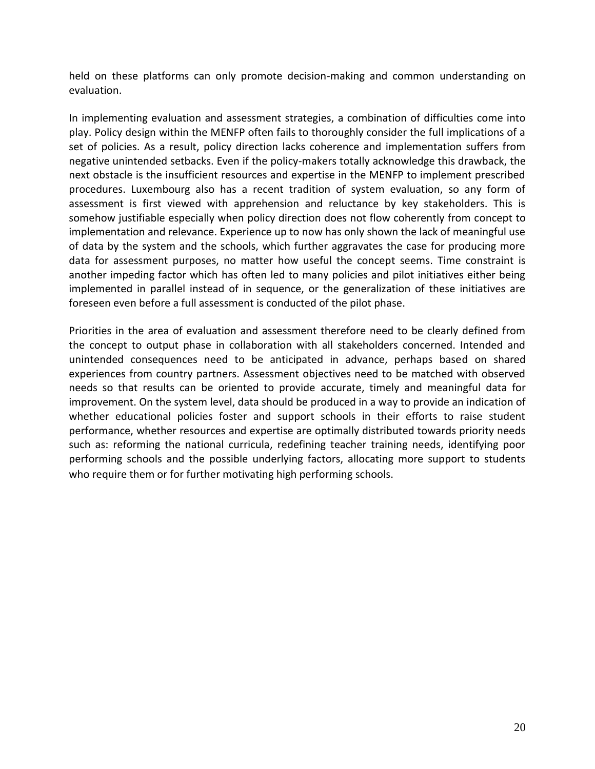held on these platforms can only promote decision-making and common understanding on evaluation.

In implementing evaluation and assessment strategies, a combination of difficulties come into play. Policy design within the MENFP often fails to thoroughly consider the full implications of a set of policies. As a result, policy direction lacks coherence and implementation suffers from negative unintended setbacks. Even if the policy-makers totally acknowledge this drawback, the next obstacle is the insufficient resources and expertise in the MENFP to implement prescribed procedures. Luxembourg also has a recent tradition of system evaluation, so any form of assessment is first viewed with apprehension and reluctance by key stakeholders. This is somehow justifiable especially when policy direction does not flow coherently from concept to implementation and relevance. Experience up to now has only shown the lack of meaningful use of data by the system and the schools, which further aggravates the case for producing more data for assessment purposes, no matter how useful the concept seems. Time constraint is another impeding factor which has often led to many policies and pilot initiatives either being implemented in parallel instead of in sequence, or the generalization of these initiatives are foreseen even before a full assessment is conducted of the pilot phase.

Priorities in the area of evaluation and assessment therefore need to be clearly defined from the concept to output phase in collaboration with all stakeholders concerned. Intended and unintended consequences need to be anticipated in advance, perhaps based on shared experiences from country partners. Assessment objectives need to be matched with observed needs so that results can be oriented to provide accurate, timely and meaningful data for improvement. On the system level, data should be produced in a way to provide an indication of whether educational policies foster and support schools in their efforts to raise student performance, whether resources and expertise are optimally distributed towards priority needs such as: reforming the national curricula, redefining teacher training needs, identifying poor performing schools and the possible underlying factors, allocating more support to students who require them or for further motivating high performing schools.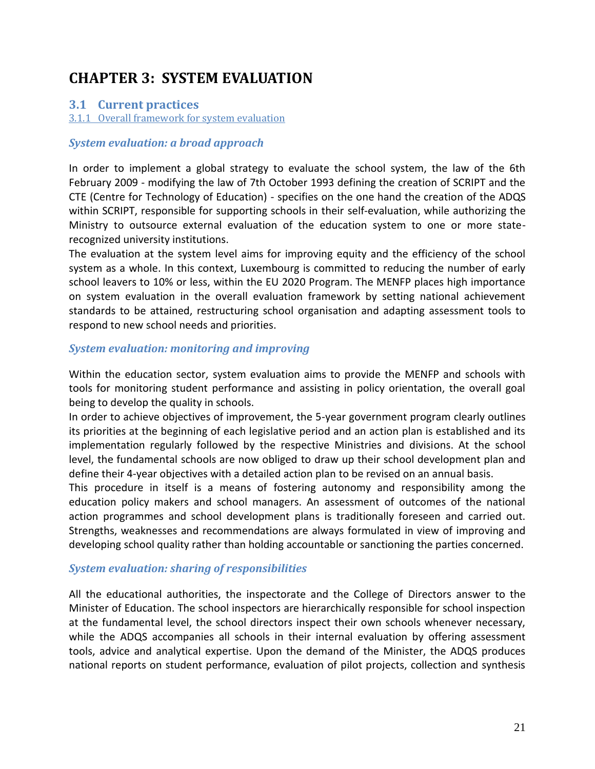# <span id="page-20-0"></span>**CHAPTER 3: SYSTEM EVALUATION**

### <span id="page-20-1"></span>**3.1 Current practices**

3.1.1 Overall framework for system evaluation

#### *System evaluation: a broad approach*

In order to implement a global strategy to evaluate the school system, the law of the 6th February 2009 - modifying the law of 7th October 1993 defining the creation of SCRIPT and the CTE (Centre for Technology of Education) - specifies on the one hand the creation of the ADQS within SCRIPT, responsible for supporting schools in their self-evaluation, while authorizing the Ministry to outsource external evaluation of the education system to one or more staterecognized university institutions.

The evaluation at the system level aims for improving equity and the efficiency of the school system as a whole. In this context, Luxembourg is committed to reducing the number of early school leavers to 10% or less, within the EU 2020 Program. The MENFP places high importance on system evaluation in the overall evaluation framework by setting national achievement standards to be attained, restructuring school organisation and adapting assessment tools to respond to new school needs and priorities.

### *System evaluation: monitoring and improving*

Within the education sector, system evaluation aims to provide the MENFP and schools with tools for monitoring student performance and assisting in policy orientation, the overall goal being to develop the quality in schools.

In order to achieve objectives of improvement, the 5-year government program clearly outlines its priorities at the beginning of each legislative period and an action plan is established and its implementation regularly followed by the respective Ministries and divisions. At the school level, the fundamental schools are now obliged to draw up their school development plan and define their 4-year objectives with a detailed action plan to be revised on an annual basis.

This procedure in itself is a means of fostering autonomy and responsibility among the education policy makers and school managers. An assessment of outcomes of the national action programmes and school development plans is traditionally foreseen and carried out. Strengths, weaknesses and recommendations are always formulated in view of improving and developing school quality rather than holding accountable or sanctioning the parties concerned.

#### *System evaluation: sharing of responsibilities*

All the educational authorities, the inspectorate and the College of Directors answer to the Minister of Education. The school inspectors are hierarchically responsible for school inspection at the fundamental level, the school directors inspect their own schools whenever necessary, while the ADQS accompanies all schools in their internal evaluation by offering assessment tools, advice and analytical expertise. Upon the demand of the Minister, the ADQS produces national reports on student performance, evaluation of pilot projects, collection and synthesis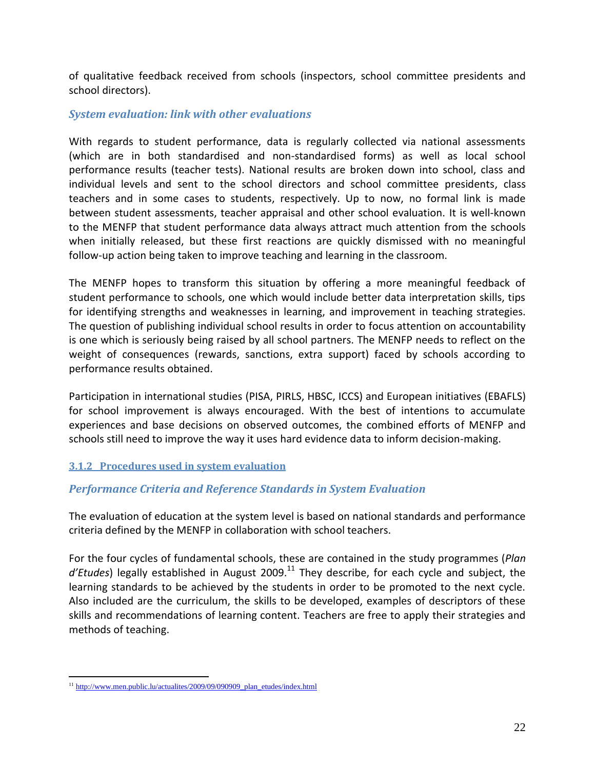of qualitative feedback received from schools (inspectors, school committee presidents and school directors).

#### *System evaluation: link with other evaluations*

With regards to student performance, data is regularly collected via national assessments (which are in both standardised and non-standardised forms) as well as local school performance results (teacher tests). National results are broken down into school, class and individual levels and sent to the school directors and school committee presidents, class teachers and in some cases to students, respectively. Up to now, no formal link is made between student assessments, teacher appraisal and other school evaluation. It is well-known to the MENFP that student performance data always attract much attention from the schools when initially released, but these first reactions are quickly dismissed with no meaningful follow-up action being taken to improve teaching and learning in the classroom.

The MENFP hopes to transform this situation by offering a more meaningful feedback of student performance to schools, one which would include better data interpretation skills, tips for identifying strengths and weaknesses in learning, and improvement in teaching strategies. The question of publishing individual school results in order to focus attention on accountability is one which is seriously being raised by all school partners. The MENFP needs to reflect on the weight of consequences (rewards, sanctions, extra support) faced by schools according to performance results obtained.

Participation in international studies (PISA, PIRLS, HBSC, ICCS) and European initiatives (EBAFLS) for school improvement is always encouraged. With the best of intentions to accumulate experiences and base decisions on observed outcomes, the combined efforts of MENFP and schools still need to improve the way it uses hard evidence data to inform decision-making.

#### <span id="page-21-0"></span>**3.1.2 Procedures used in system evaluation**

# *Performance Criteria and Reference Standards in System Evaluation*

The evaluation of education at the system level is based on national standards and performance criteria defined by the MENFP in collaboration with school teachers.

For the four cycles of fundamental schools, these are contained in the study programmes (*Plan*  d'Etudes) legally established in August 2009.<sup>11</sup> They describe, for each cycle and subject, the learning standards to be achieved by the students in order to be promoted to the next cycle. Also included are the curriculum, the skills to be developed, examples of descriptors of these skills and recommendations of learning content. Teachers are free to apply their strategies and methods of teaching.

 $\overline{a}$ <sup>11</sup> [http://www.men.public.lu/actualites/2009/09/090909\\_plan\\_etudes/index.html](http://www.men.public.lu/actualites/2009/09/090909_plan_etudes/index.html)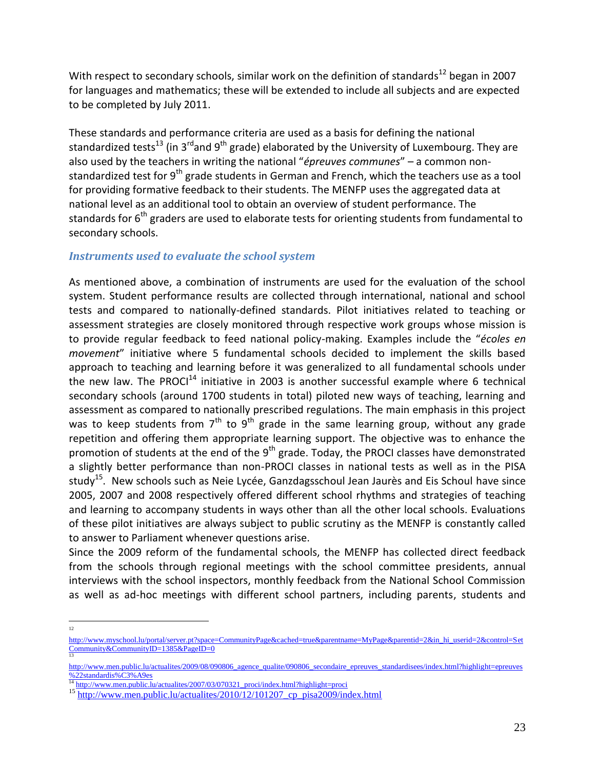With respect to secondary schools, similar work on the definition of standards<sup>12</sup> began in 2007 for languages and mathematics; these will be extended to include all subjects and are expected to be completed by July 2011.

These standards and performance criteria are used as a basis for defining the national standardized tests<sup>13</sup> (in 3<sup>rd</sup>and 9<sup>th</sup> grade) elaborated by the University of Luxembourg. They are also used by the teachers in writing the national "*épreuves communes*" – a common nonstandardized test for  $9<sup>th</sup>$  grade students in German and French, which the teachers use as a tool for providing formative feedback to their students. The MENFP uses the aggregated data at national level as an additional tool to obtain an overview of student performance. The standards for  $6<sup>th</sup>$  graders are used to elaborate tests for orienting students from fundamental to secondary schools.

### *Instruments used to evaluate the school system*

As mentioned above, a combination of instruments are used for the evaluation of the school system. Student performance results are collected through international, national and school tests and compared to nationally-defined standards. Pilot initiatives related to teaching or assessment strategies are closely monitored through respective work groups whose mission is to provide regular feedback to feed national policy-making. Examples include the "*écoles en movement*" initiative where 5 fundamental schools decided to implement the skills based approach to teaching and learning before it was generalized to all fundamental schools under the new law. The PROCI $^{14}$  initiative in 2003 is another successful example where 6 technical secondary schools (around 1700 students in total) piloted new ways of teaching, learning and assessment as compared to nationally prescribed regulations. The main emphasis in this project was to keep students from  $7<sup>th</sup>$  to  $9<sup>th</sup>$  grade in the same learning group, without any grade repetition and offering them appropriate learning support. The objective was to enhance the promotion of students at the end of the 9<sup>th</sup> grade. Today, the PROCI classes have demonstrated a slightly better performance than non-PROCI classes in national tests as well as in the PISA study<sup>15</sup>. New schools such as Neie Lycée, Ganzdagsschoul Jean Jaurès and Eis Schoul have since 2005, 2007 and 2008 respectively offered different school rhythms and strategies of teaching and learning to accompany students in ways other than all the other local schools. Evaluations of these pilot initiatives are always subject to public scrutiny as the MENFP is constantly called to answer to Parliament whenever questions arise.

Since the 2009 reform of the fundamental schools, the MENFP has collected direct feedback from the schools through regional meetings with the school committee presidents, annual interviews with the school inspectors, monthly feedback from the National School Commission as well as ad-hoc meetings with different school partners, including parents, students and

<sup>12</sup>

[http://www.myschool.lu/portal/server.pt?space=CommunityPage&cached=true&parentname=MyPage&parentid=2&in\\_hi\\_userid=2&control=Set](http://www.myschool.lu/portal/server.pt?space=CommunityPage&cached=true&parentname=MyPage&parentid=2&in_hi_userid=2&control=SetCommunity&CommunityID=1385&PageID=0) [Community&CommunityID=1385&PageID=0](http://www.myschool.lu/portal/server.pt?space=CommunityPage&cached=true&parentname=MyPage&parentid=2&in_hi_userid=2&control=SetCommunity&CommunityID=1385&PageID=0) 13

[http://www.men.public.lu/actualites/2009/08/090806\\_agence\\_qualite/090806\\_secondaire\\_epreuves\\_standardisees/index.html?highlight=epreuves](http://www.men.public.lu/actualites/2009/08/090806_agence_qualite/090806_secondaire_epreuves_standardisees/index.html?highlight=epreuves%22standardis%C3%A9es) [%22standardis%C3%A9es](http://www.men.public.lu/actualites/2009/08/090806_agence_qualite/090806_secondaire_epreuves_standardisees/index.html?highlight=epreuves%22standardis%C3%A9es)

<sup>14</sup> [http://www.men.public.lu/actualites/2007/03/070321\\_proci/index.html?highlight=proci](http://www.men.public.lu/actualites/2007/03/070321_proci/index.html?highlight=proci)

<sup>&</sup>lt;sup>15</sup> [http://www.men.public.lu/actualites/2010/12/101207\\_cp\\_pisa2009/index.html](http://www.men.public.lu/actualites/2010/12/101207_cp_pisa2009/index.html)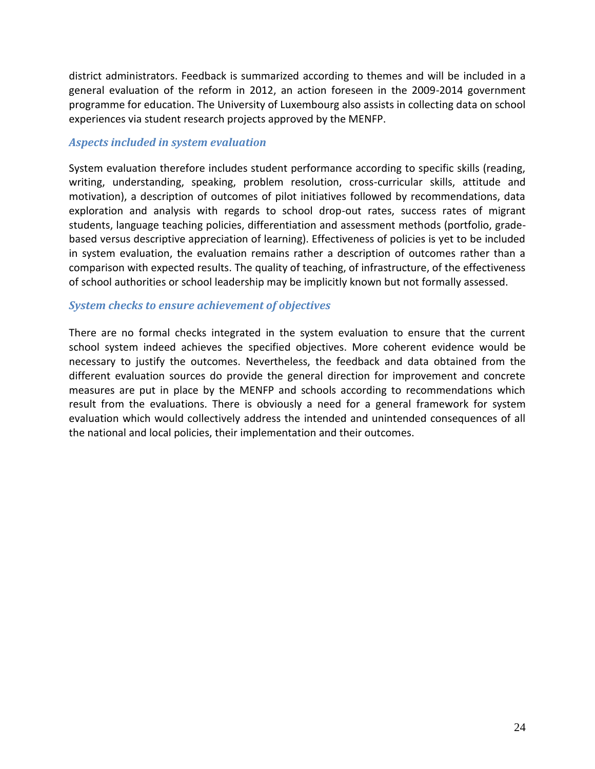district administrators. Feedback is summarized according to themes and will be included in a general evaluation of the reform in 2012, an action foreseen in the 2009-2014 government programme for education. The University of Luxembourg also assists in collecting data on school experiences via student research projects approved by the MENFP.

#### *Aspects included in system evaluation*

System evaluation therefore includes student performance according to specific skills (reading, writing, understanding, speaking, problem resolution, cross-curricular skills, attitude and motivation), a description of outcomes of pilot initiatives followed by recommendations, data exploration and analysis with regards to school drop-out rates, success rates of migrant students, language teaching policies, differentiation and assessment methods (portfolio, gradebased versus descriptive appreciation of learning). Effectiveness of policies is yet to be included in system evaluation, the evaluation remains rather a description of outcomes rather than a comparison with expected results. The quality of teaching, of infrastructure, of the effectiveness of school authorities or school leadership may be implicitly known but not formally assessed.

#### *System checks to ensure achievement of objectives*

There are no formal checks integrated in the system evaluation to ensure that the current school system indeed achieves the specified objectives. More coherent evidence would be necessary to justify the outcomes. Nevertheless, the feedback and data obtained from the different evaluation sources do provide the general direction for improvement and concrete measures are put in place by the MENFP and schools according to recommendations which result from the evaluations. There is obviously a need for a general framework for system evaluation which would collectively address the intended and unintended consequences of all the national and local policies, their implementation and their outcomes.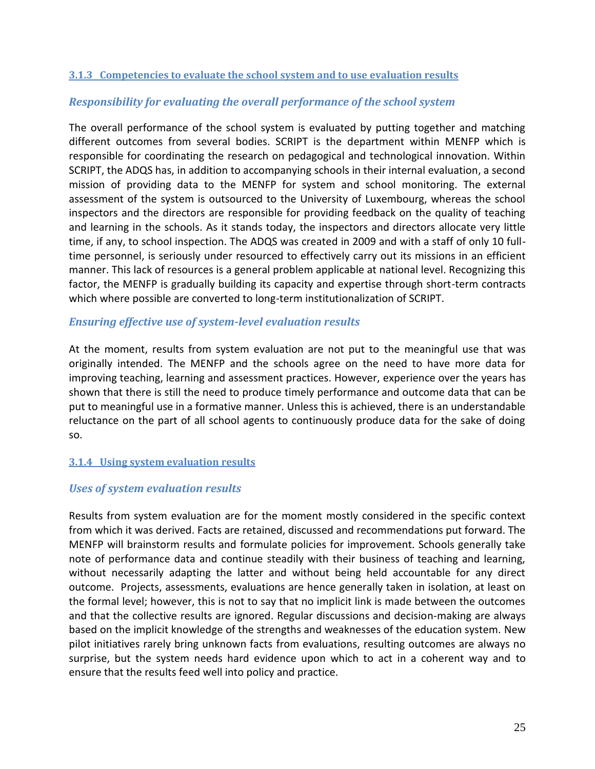#### <span id="page-24-0"></span>**3.1.3 Competencies to evaluate the school system and to use evaluation results**

#### *Responsibility for evaluating the overall performance of the school system*

The overall performance of the school system is evaluated by putting together and matching different outcomes from several bodies. SCRIPT is the department within MENFP which is responsible for coordinating the research on pedagogical and technological innovation. Within SCRIPT, the ADQS has, in addition to accompanying schools in their internal evaluation, a second mission of providing data to the MENFP for system and school monitoring. The external assessment of the system is outsourced to the University of Luxembourg, whereas the school inspectors and the directors are responsible for providing feedback on the quality of teaching and learning in the schools. As it stands today, the inspectors and directors allocate very little time, if any, to school inspection. The ADQS was created in 2009 and with a staff of only 10 fulltime personnel, is seriously under resourced to effectively carry out its missions in an efficient manner. This lack of resources is a general problem applicable at national level. Recognizing this factor, the MENFP is gradually building its capacity and expertise through short-term contracts which where possible are converted to long-term institutionalization of SCRIPT.

#### *Ensuring effective use of system-level evaluation results*

At the moment, results from system evaluation are not put to the meaningful use that was originally intended. The MENFP and the schools agree on the need to have more data for improving teaching, learning and assessment practices. However, experience over the years has shown that there is still the need to produce timely performance and outcome data that can be put to meaningful use in a formative manner. Unless this is achieved, there is an understandable reluctance on the part of all school agents to continuously produce data for the sake of doing so.

#### <span id="page-24-1"></span>**3.1.4 Using system evaluation results**

#### *Uses of system evaluation results*

Results from system evaluation are for the moment mostly considered in the specific context from which it was derived. Facts are retained, discussed and recommendations put forward. The MENFP will brainstorm results and formulate policies for improvement. Schools generally take note of performance data and continue steadily with their business of teaching and learning, without necessarily adapting the latter and without being held accountable for any direct outcome. Projects, assessments, evaluations are hence generally taken in isolation, at least on the formal level; however, this is not to say that no implicit link is made between the outcomes and that the collective results are ignored. Regular discussions and decision-making are always based on the implicit knowledge of the strengths and weaknesses of the education system. New pilot initiatives rarely bring unknown facts from evaluations, resulting outcomes are always no surprise, but the system needs hard evidence upon which to act in a coherent way and to ensure that the results feed well into policy and practice.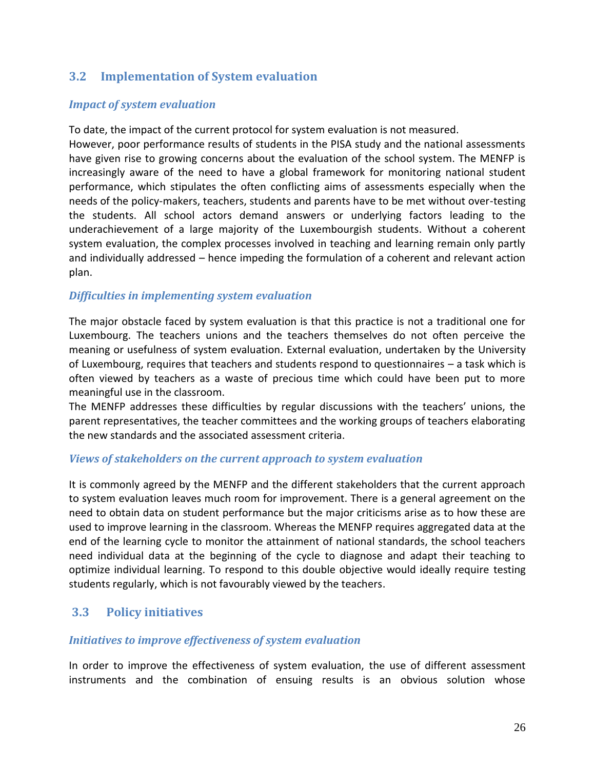# **3.2 Implementation of System evaluation**

#### *Impact of system evaluation*

To date, the impact of the current protocol for system evaluation is not measured.

However, poor performance results of students in the PISA study and the national assessments have given rise to growing concerns about the evaluation of the school system. The MENFP is increasingly aware of the need to have a global framework for monitoring national student performance, which stipulates the often conflicting aims of assessments especially when the needs of the policy-makers, teachers, students and parents have to be met without over-testing the students. All school actors demand answers or underlying factors leading to the underachievement of a large majority of the Luxembourgish students. Without a coherent system evaluation, the complex processes involved in teaching and learning remain only partly and individually addressed – hence impeding the formulation of a coherent and relevant action plan.

### *Difficulties in implementing system evaluation*

The major obstacle faced by system evaluation is that this practice is not a traditional one for Luxembourg. The teachers unions and the teachers themselves do not often perceive the meaning or usefulness of system evaluation. External evaluation, undertaken by the University of Luxembourg, requires that teachers and students respond to questionnaires – a task which is often viewed by teachers as a waste of precious time which could have been put to more meaningful use in the classroom.

The MENFP addresses these difficulties by regular discussions with the teachers' unions, the parent representatives, the teacher committees and the working groups of teachers elaborating the new standards and the associated assessment criteria.

#### *Views of stakeholders on the current approach to system evaluation*

It is commonly agreed by the MENFP and the different stakeholders that the current approach to system evaluation leaves much room for improvement. There is a general agreement on the need to obtain data on student performance but the major criticisms arise as to how these are used to improve learning in the classroom. Whereas the MENFP requires aggregated data at the end of the learning cycle to monitor the attainment of national standards, the school teachers need individual data at the beginning of the cycle to diagnose and adapt their teaching to optimize individual learning. To respond to this double objective would ideally require testing students regularly, which is not favourably viewed by the teachers.

# **3.3 Policy initiatives**

#### *Initiatives to improve effectiveness of system evaluation*

In order to improve the effectiveness of system evaluation, the use of different assessment instruments and the combination of ensuing results is an obvious solution whose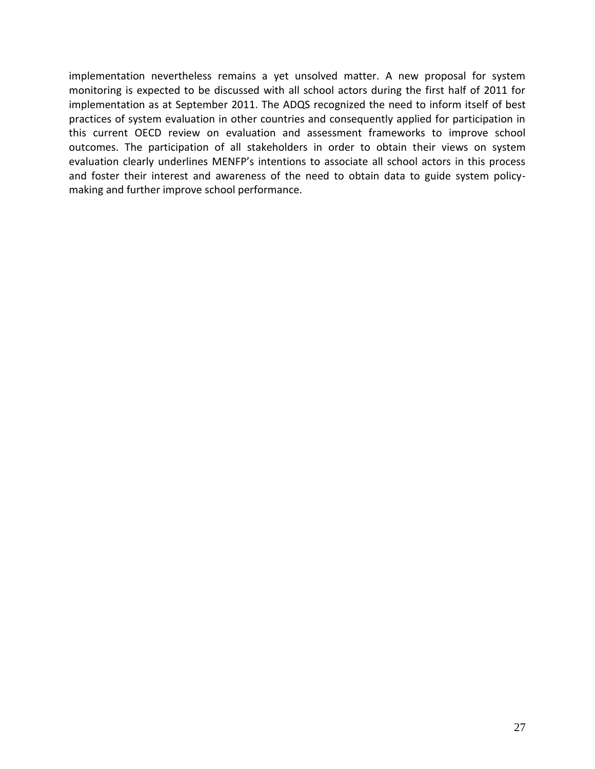implementation nevertheless remains a yet unsolved matter. A new proposal for system monitoring is expected to be discussed with all school actors during the first half of 2011 for implementation as at September 2011. The ADQS recognized the need to inform itself of best practices of system evaluation in other countries and consequently applied for participation in this current OECD review on evaluation and assessment frameworks to improve school outcomes. The participation of all stakeholders in order to obtain their views on system evaluation clearly underlines MENFP's intentions to associate all school actors in this process and foster their interest and awareness of the need to obtain data to guide system policymaking and further improve school performance.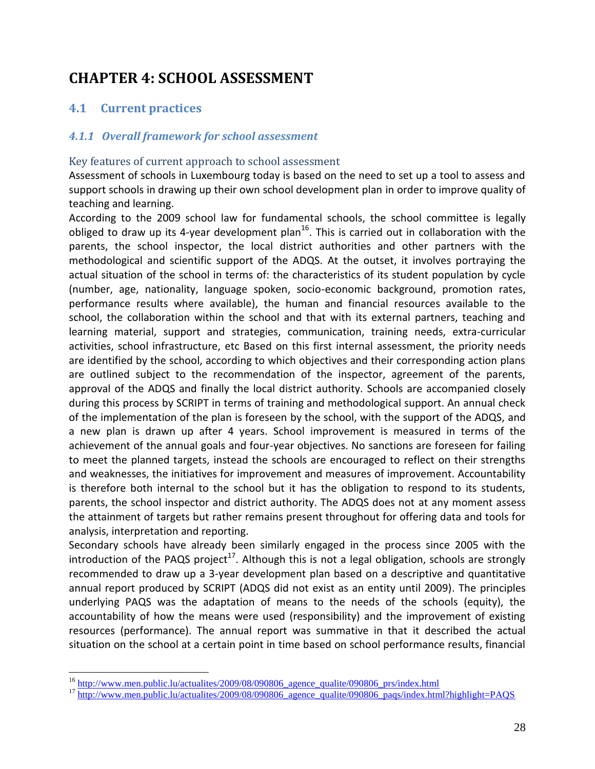# <span id="page-27-0"></span>**CHAPTER 4: SCHOOL ASSESSMENT**

# **4.1 Current practices**

 $\overline{a}$ 

#### *4.1.1 Overall framework for school assessment*

#### Key features of current approach to school assessment

Assessment of schools in Luxembourg today is based on the need to set up a tool to assess and support schools in drawing up their own school development plan in order to improve quality of teaching and learning.

According to the 2009 school law for fundamental schools, the school committee is legally obliged to draw up its 4-year development plan<sup>16</sup>. This is carried out in collaboration with the parents, the school inspector, the local district authorities and other partners with the methodological and scientific support of the ADQS. At the outset, it involves portraying the actual situation of the school in terms of: the characteristics of its student population by cycle (number, age, nationality, language spoken, socio-economic background, promotion rates, performance results where available), the human and financial resources available to the school, the collaboration within the school and that with its external partners, teaching and learning material, support and strategies, communication, training needs, extra-curricular activities, school infrastructure, etc Based on this first internal assessment, the priority needs are identified by the school, according to which objectives and their corresponding action plans are outlined subject to the recommendation of the inspector, agreement of the parents, approval of the ADQS and finally the local district authority. Schools are accompanied closely during this process by SCRIPT in terms of training and methodological support. An annual check of the implementation of the plan is foreseen by the school, with the support of the ADQS, and a new plan is drawn up after 4 years. School improvement is measured in terms of the achievement of the annual goals and four-year objectives. No sanctions are foreseen for failing to meet the planned targets, instead the schools are encouraged to reflect on their strengths and weaknesses, the initiatives for improvement and measures of improvement. Accountability is therefore both internal to the school but it has the obligation to respond to its students, parents, the school inspector and district authority. The ADQS does not at any moment assess the attainment of targets but rather remains present throughout for offering data and tools for analysis, interpretation and reporting.

Secondary schools have already been similarly engaged in the process since 2005 with the introduction of the PAQS project<sup>17</sup>. Although this is not a legal obligation, schools are strongly recommended to draw up a 3-year development plan based on a descriptive and quantitative annual report produced by SCRIPT (ADQS did not exist as an entity until 2009). The principles underlying PAQS was the adaptation of means to the needs of the schools (equity), the accountability of how the means were used (responsibility) and the improvement of existing resources (performance). The annual report was summative in that it described the actual situation on the school at a certain point in time based on school performance results, financial

<sup>&</sup>lt;sup>16</sup> http://www.men.public.lu/actualites/2009/08/090806 agence qualite/090806 prs/index.html

<sup>17</sup> [http://www.men.public.lu/actualites/2009/08/090806\\_agence\\_qualite/090806\\_paqs/index.html?highlight=PAQS](http://www.men.public.lu/actualites/2009/08/090806_agence_qualite/090806_paqs/index.html?highlight=PAQS)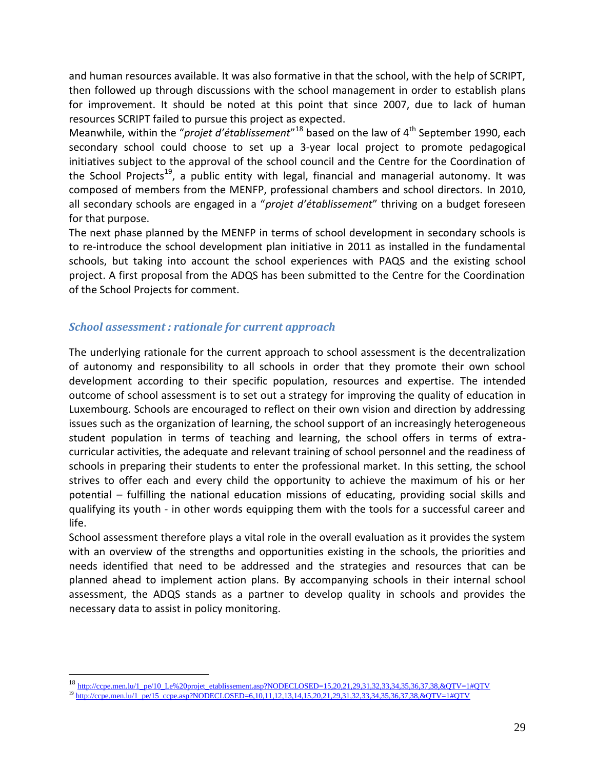and human resources available. It was also formative in that the school, with the help of SCRIPT, then followed up through discussions with the school management in order to establish plans for improvement. It should be noted at this point that since 2007, due to lack of human resources SCRIPT failed to pursue this project as expected.

Meanwhile, within the "*projet d'établissement*"<sup>18</sup> based on the law of 4<sup>th</sup> September 1990, each secondary school could choose to set up a 3-year local project to promote pedagogical initiatives subject to the approval of the school council and the Centre for the Coordination of the School Projects<sup>19</sup>, a public entity with legal, financial and managerial autonomy. It was composed of members from the MENFP, professional chambers and school directors. In 2010, all secondary schools are engaged in a "*projet d'établissement*" thriving on a budget foreseen for that purpose.

The next phase planned by the MENFP in terms of school development in secondary schools is to re-introduce the school development plan initiative in 2011 as installed in the fundamental schools, but taking into account the school experiences with PAQS and the existing school project. A first proposal from the ADQS has been submitted to the Centre for the Coordination of the School Projects for comment.

### *School assessment : rationale for current approach*

 $\overline{a}$ 

The underlying rationale for the current approach to school assessment is the decentralization of autonomy and responsibility to all schools in order that they promote their own school development according to their specific population, resources and expertise. The intended outcome of school assessment is to set out a strategy for improving the quality of education in Luxembourg. Schools are encouraged to reflect on their own vision and direction by addressing issues such as the organization of learning, the school support of an increasingly heterogeneous student population in terms of teaching and learning, the school offers in terms of extracurricular activities, the adequate and relevant training of school personnel and the readiness of schools in preparing their students to enter the professional market. In this setting, the school strives to offer each and every child the opportunity to achieve the maximum of his or her potential – fulfilling the national education missions of educating, providing social skills and qualifying its youth - in other words equipping them with the tools for a successful career and life.

School assessment therefore plays a vital role in the overall evaluation as it provides the system with an overview of the strengths and opportunities existing in the schools, the priorities and needs identified that need to be addressed and the strategies and resources that can be planned ahead to implement action plans. By accompanying schools in their internal school assessment, the ADQS stands as a partner to develop quality in schools and provides the necessary data to assist in policy monitoring.

<sup>18</sup> [http://ccpe.men.lu/1\\_pe/10\\_Le%20projet\\_etablissement.asp?NODECLOSED=15,20,21,29,31,32,33,34,35,36,37,38,&QTV=1#QTV](http://ccpe.men.lu/1_pe/10_Le%20projet_etablissement.asp?NODECLOSED=15,20,21,29,31,32,33,34,35,36,37,38,&QTV=1#QTV)

<sup>19</sup> [http://ccpe.men.lu/1\\_pe/15\\_ccpe.asp?NODECLOSED=6,10,11,12,13,14,15,20,21,29,31,32,33,34,35,36,37,38,&QTV=1#QTV](http://ccpe.men.lu/1_pe/15_ccpe.asp?NODECLOSED=6,10,11,12,13,14,15,20,21,29,31,32,33,34,35,36,37,38,&QTV=1#QTV)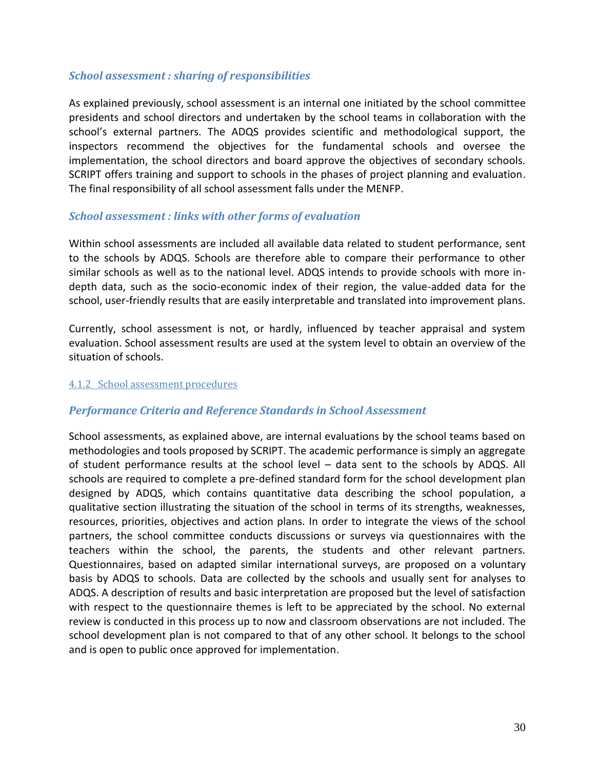#### *School assessment : sharing of responsibilities*

As explained previously, school assessment is an internal one initiated by the school committee presidents and school directors and undertaken by the school teams in collaboration with the school's external partners. The ADQS provides scientific and methodological support, the inspectors recommend the objectives for the fundamental schools and oversee the implementation, the school directors and board approve the objectives of secondary schools. SCRIPT offers training and support to schools in the phases of project planning and evaluation. The final responsibility of all school assessment falls under the MENFP.

#### *School assessment : links with other forms of evaluation*

Within school assessments are included all available data related to student performance, sent to the schools by ADQS. Schools are therefore able to compare their performance to other similar schools as well as to the national level. ADQS intends to provide schools with more indepth data, such as the socio-economic index of their region, the value-added data for the school, user-friendly results that are easily interpretable and translated into improvement plans.

Currently, school assessment is not, or hardly, influenced by teacher appraisal and system evaluation. School assessment results are used at the system level to obtain an overview of the situation of schools.

#### <span id="page-29-0"></span>4.1.2 School assessment procedures

#### *Performance Criteria and Reference Standards in School Assessment*

School assessments, as explained above, are internal evaluations by the school teams based on methodologies and tools proposed by SCRIPT. The academic performance is simply an aggregate of student performance results at the school level – data sent to the schools by ADQS. All schools are required to complete a pre-defined standard form for the school development plan designed by ADQS, which contains quantitative data describing the school population, a qualitative section illustrating the situation of the school in terms of its strengths, weaknesses, resources, priorities, objectives and action plans. In order to integrate the views of the school partners, the school committee conducts discussions or surveys via questionnaires with the teachers within the school, the parents, the students and other relevant partners. Questionnaires, based on adapted similar international surveys, are proposed on a voluntary basis by ADQS to schools. Data are collected by the schools and usually sent for analyses to ADQS. A description of results and basic interpretation are proposed but the level of satisfaction with respect to the questionnaire themes is left to be appreciated by the school. No external review is conducted in this process up to now and classroom observations are not included. The school development plan is not compared to that of any other school. It belongs to the school and is open to public once approved for implementation.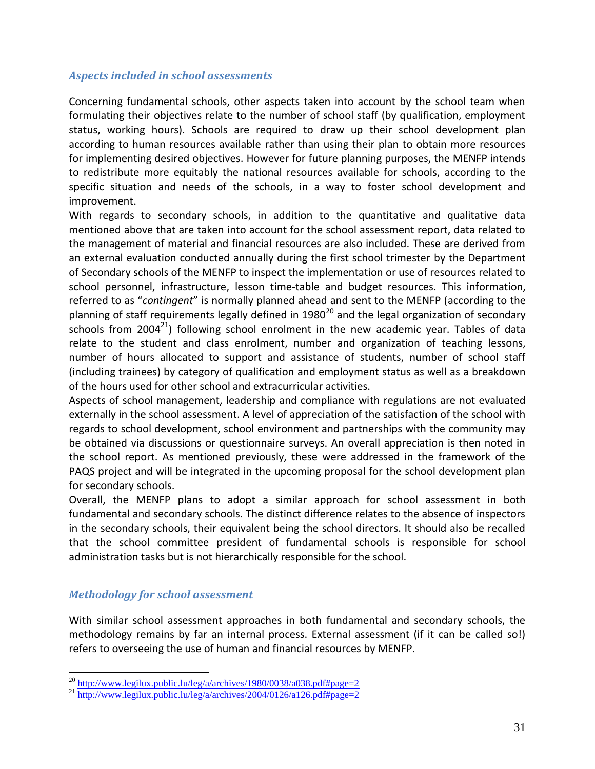#### *Aspects included in school assessments*

Concerning fundamental schools, other aspects taken into account by the school team when formulating their objectives relate to the number of school staff (by qualification, employment status, working hours). Schools are required to draw up their school development plan according to human resources available rather than using their plan to obtain more resources for implementing desired objectives. However for future planning purposes, the MENFP intends to redistribute more equitably the national resources available for schools, according to the specific situation and needs of the schools, in a way to foster school development and improvement.

With regards to secondary schools, in addition to the quantitative and qualitative data mentioned above that are taken into account for the school assessment report, data related to the management of material and financial resources are also included. These are derived from an external evaluation conducted annually during the first school trimester by the Department of Secondary schools of the MENFP to inspect the implementation or use of resources related to school personnel, infrastructure, lesson time-table and budget resources. This information, referred to as "*contingent*" is normally planned ahead and sent to the MENFP (according to the planning of staff requirements legally defined in 1980<sup>20</sup> and the legal organization of secondary schools from 2004 $^{21}$ ) following school enrolment in the new academic year. Tables of data relate to the student and class enrolment, number and organization of teaching lessons, number of hours allocated to support and assistance of students, number of school staff (including trainees) by category of qualification and employment status as well as a breakdown of the hours used for other school and extracurricular activities.

Aspects of school management, leadership and compliance with regulations are not evaluated externally in the school assessment. A level of appreciation of the satisfaction of the school with regards to school development, school environment and partnerships with the community may be obtained via discussions or questionnaire surveys. An overall appreciation is then noted in the school report. As mentioned previously, these were addressed in the framework of the PAQS project and will be integrated in the upcoming proposal for the school development plan for secondary schools.

Overall, the MENFP plans to adopt a similar approach for school assessment in both fundamental and secondary schools. The distinct difference relates to the absence of inspectors in the secondary schools, their equivalent being the school directors. It should also be recalled that the school committee president of fundamental schools is responsible for school administration tasks but is not hierarchically responsible for the school.

#### *Methodology for school assessment*

 $\overline{a}$ 

With similar school assessment approaches in both fundamental and secondary schools, the methodology remains by far an internal process. External assessment (if it can be called so!) refers to overseeing the use of human and financial resources by MENFP.

 $^{20}$  <http://www.legilux.public.lu/leg/a/archives/1980/0038/a038.pdf#page=2>

 $^{21}$  <http://www.legilux.public.lu/leg/a/archives/2004/0126/a126.pdf#page=2>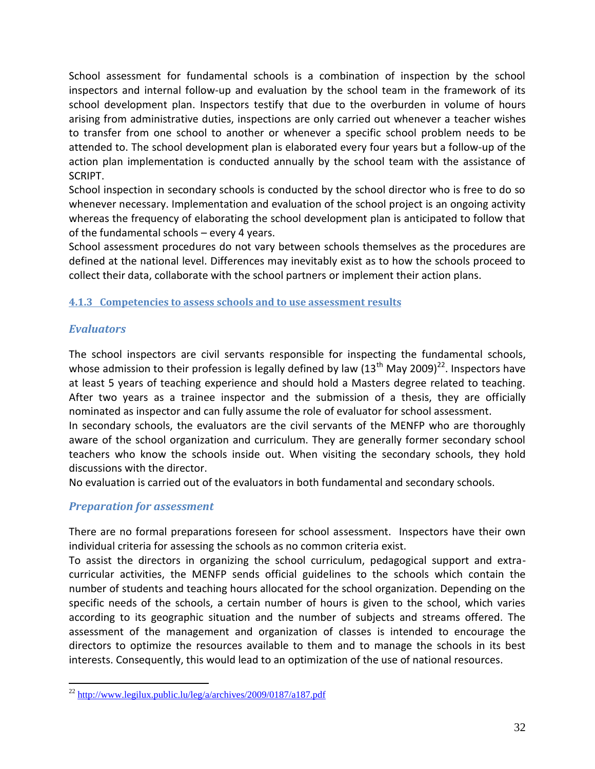School assessment for fundamental schools is a combination of inspection by the school inspectors and internal follow-up and evaluation by the school team in the framework of its school development plan. Inspectors testify that due to the overburden in volume of hours arising from administrative duties, inspections are only carried out whenever a teacher wishes to transfer from one school to another or whenever a specific school problem needs to be attended to. The school development plan is elaborated every four years but a follow-up of the action plan implementation is conducted annually by the school team with the assistance of SCRIPT.

School inspection in secondary schools is conducted by the school director who is free to do so whenever necessary. Implementation and evaluation of the school project is an ongoing activity whereas the frequency of elaborating the school development plan is anticipated to follow that of the fundamental schools – every 4 years.

School assessment procedures do not vary between schools themselves as the procedures are defined at the national level. Differences may inevitably exist as to how the schools proceed to collect their data, collaborate with the school partners or implement their action plans.

#### <span id="page-31-0"></span>**4.1.3 Competencies to assess schools and to use assessment results**

### *Evaluators*

The school inspectors are civil servants responsible for inspecting the fundamental schools, whose admission to their profession is legally defined by law  $(13<sup>th</sup>$  May 2009)<sup>22</sup>. Inspectors have at least 5 years of teaching experience and should hold a Masters degree related to teaching. After two years as a trainee inspector and the submission of a thesis, they are officially nominated as inspector and can fully assume the role of evaluator for school assessment.

In secondary schools, the evaluators are the civil servants of the MENFP who are thoroughly aware of the school organization and curriculum. They are generally former secondary school teachers who know the schools inside out. When visiting the secondary schools, they hold discussions with the director.

No evaluation is carried out of the evaluators in both fundamental and secondary schools.

# *Preparation for assessment*

There are no formal preparations foreseen for school assessment. Inspectors have their own individual criteria for assessing the schools as no common criteria exist.

To assist the directors in organizing the school curriculum, pedagogical support and extracurricular activities, the MENFP sends official guidelines to the schools which contain the number of students and teaching hours allocated for the school organization. Depending on the specific needs of the schools, a certain number of hours is given to the school, which varies according to its geographic situation and the number of subjects and streams offered. The assessment of the management and organization of classes is intended to encourage the directors to optimize the resources available to them and to manage the schools in its best interests. Consequently, this would lead to an optimization of the use of national resources.

 $\overline{a}$  $^{22}$  <http://www.legilux.public.lu/leg/a/archives/2009/0187/a187.pdf>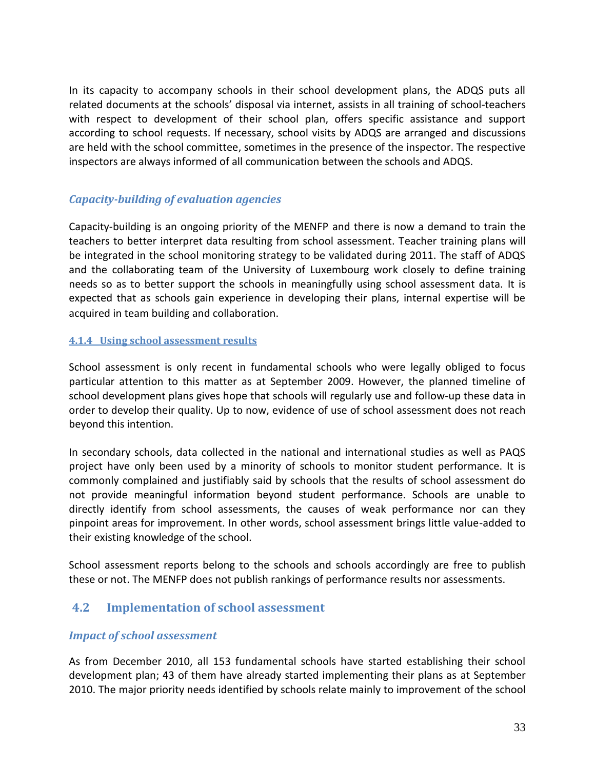In its capacity to accompany schools in their school development plans, the ADQS puts all related documents at the schools' disposal via internet, assists in all training of school-teachers with respect to development of their school plan, offers specific assistance and support according to school requests. If necessary, school visits by ADQS are arranged and discussions are held with the school committee, sometimes in the presence of the inspector. The respective inspectors are always informed of all communication between the schools and ADQS.

## *Capacity-building of evaluation agencies*

Capacity-building is an ongoing priority of the MENFP and there is now a demand to train the teachers to better interpret data resulting from school assessment. Teacher training plans will be integrated in the school monitoring strategy to be validated during 2011. The staff of ADQS and the collaborating team of the University of Luxembourg work closely to define training needs so as to better support the schools in meaningfully using school assessment data. It is expected that as schools gain experience in developing their plans, internal expertise will be acquired in team building and collaboration.

#### <span id="page-32-0"></span>**4.1.4 Using school assessment results**

School assessment is only recent in fundamental schools who were legally obliged to focus particular attention to this matter as at September 2009. However, the planned timeline of school development plans gives hope that schools will regularly use and follow-up these data in order to develop their quality. Up to now, evidence of use of school assessment does not reach beyond this intention.

In secondary schools, data collected in the national and international studies as well as PAQS project have only been used by a minority of schools to monitor student performance. It is commonly complained and justifiably said by schools that the results of school assessment do not provide meaningful information beyond student performance. Schools are unable to directly identify from school assessments, the causes of weak performance nor can they pinpoint areas for improvement. In other words, school assessment brings little value-added to their existing knowledge of the school.

School assessment reports belong to the schools and schools accordingly are free to publish these or not. The MENFP does not publish rankings of performance results nor assessments.

# **4.2 Implementation of school assessment**

#### *Impact of school assessment*

As from December 2010, all 153 fundamental schools have started establishing their school development plan; 43 of them have already started implementing their plans as at September 2010. The major priority needs identified by schools relate mainly to improvement of the school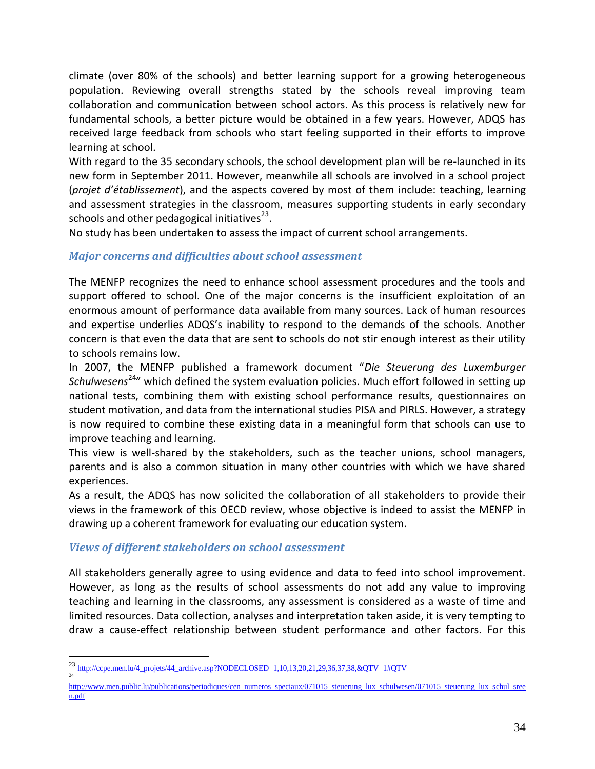climate (over 80% of the schools) and better learning support for a growing heterogeneous population. Reviewing overall strengths stated by the schools reveal improving team collaboration and communication between school actors. As this process is relatively new for fundamental schools, a better picture would be obtained in a few years. However, ADQS has received large feedback from schools who start feeling supported in their efforts to improve learning at school.

With regard to the 35 secondary schools, the school development plan will be re-launched in its new form in September 2011. However, meanwhile all schools are involved in a school project (*projet d'établissement*), and the aspects covered by most of them include: teaching, learning and assessment strategies in the classroom, measures supporting students in early secondary schools and other pedagogical initiatives<sup>23</sup>.

No study has been undertaken to assess the impact of current school arrangements.

### *Major concerns and difficulties about school assessment*

The MENFP recognizes the need to enhance school assessment procedures and the tools and support offered to school. One of the major concerns is the insufficient exploitation of an enormous amount of performance data available from many sources. Lack of human resources and expertise underlies ADQS's inability to respond to the demands of the schools. Another concern is that even the data that are sent to schools do not stir enough interest as their utility to schools remains low.

In 2007, the MENFP published a framework document "*Die Steuerung des Luxemburger Schulwesens*<sup>24</sup>" which defined the system evaluation policies. Much effort followed in setting up national tests, combining them with existing school performance results, questionnaires on student motivation, and data from the international studies PISA and PIRLS. However, a strategy is now required to combine these existing data in a meaningful form that schools can use to improve teaching and learning.

This view is well-shared by the stakeholders, such as the teacher unions, school managers, parents and is also a common situation in many other countries with which we have shared experiences.

As a result, the ADQS has now solicited the collaboration of all stakeholders to provide their views in the framework of this OECD review, whose objective is indeed to assist the MENFP in drawing up a coherent framework for evaluating our education system.

#### *Views of different stakeholders on school assessment*

 $\overline{a}$ 

All stakeholders generally agree to using evidence and data to feed into school improvement. However, as long as the results of school assessments do not add any value to improving teaching and learning in the classrooms, any assessment is considered as a waste of time and limited resources. Data collection, analyses and interpretation taken aside, it is very tempting to draw a cause-effect relationship between student performance and other factors. For this

<sup>23</sup> [http://ccpe.men.lu/4\\_projets/44\\_archive.asp?NODECLOSED=1,10,13,20,21,29,36,37,38,&QTV=1#QTV](http://ccpe.men.lu/4_projets/44_archive.asp?NODECLOSED=1,10,13,20,21,29,36,37,38,&QTV=1#QTV)  $^{24}$ 

[http://www.men.public.lu/publications/periodiques/cen\\_numeros\\_speciaux/071015\\_steuerung\\_lux\\_schulwesen/071015\\_steuerung\\_lux\\_schul\\_sree](http://www.men.public.lu/publications/periodiques/cen_numeros_speciaux/071015_steuerung_lux_schulwesen/071015_steuerung_lux_schul_sreen.pdf) [n.pdf](http://www.men.public.lu/publications/periodiques/cen_numeros_speciaux/071015_steuerung_lux_schulwesen/071015_steuerung_lux_schul_sreen.pdf)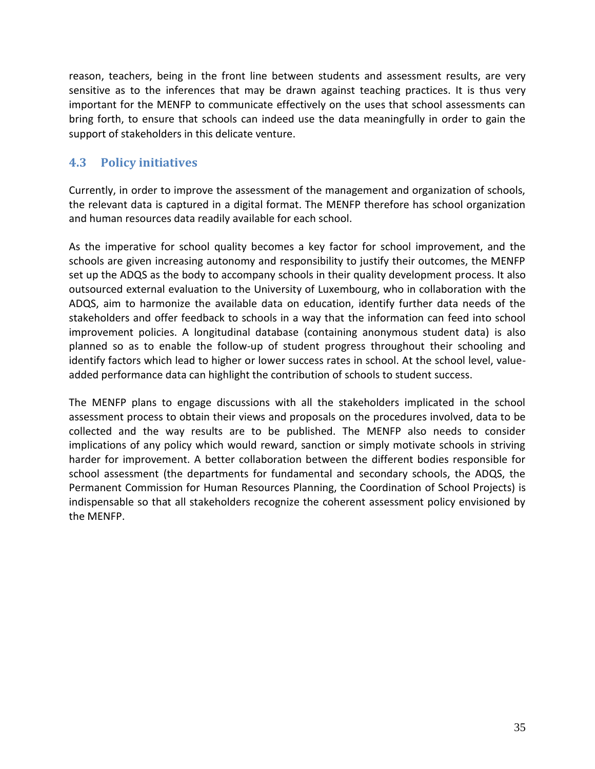reason, teachers, being in the front line between students and assessment results, are very sensitive as to the inferences that may be drawn against teaching practices. It is thus very important for the MENFP to communicate effectively on the uses that school assessments can bring forth, to ensure that schools can indeed use the data meaningfully in order to gain the support of stakeholders in this delicate venture.

# **4.3 Policy initiatives**

Currently, in order to improve the assessment of the management and organization of schools, the relevant data is captured in a digital format. The MENFP therefore has school organization and human resources data readily available for each school.

As the imperative for school quality becomes a key factor for school improvement, and the schools are given increasing autonomy and responsibility to justify their outcomes, the MENFP set up the ADQS as the body to accompany schools in their quality development process. It also outsourced external evaluation to the University of Luxembourg, who in collaboration with the ADQS, aim to harmonize the available data on education, identify further data needs of the stakeholders and offer feedback to schools in a way that the information can feed into school improvement policies. A longitudinal database (containing anonymous student data) is also planned so as to enable the follow-up of student progress throughout their schooling and identify factors which lead to higher or lower success rates in school. At the school level, valueadded performance data can highlight the contribution of schools to student success.

The MENFP plans to engage discussions with all the stakeholders implicated in the school assessment process to obtain their views and proposals on the procedures involved, data to be collected and the way results are to be published. The MENFP also needs to consider implications of any policy which would reward, sanction or simply motivate schools in striving harder for improvement. A better collaboration between the different bodies responsible for school assessment (the departments for fundamental and secondary schools, the ADQS, the Permanent Commission for Human Resources Planning, the Coordination of School Projects) is indispensable so that all stakeholders recognize the coherent assessment policy envisioned by the MENFP.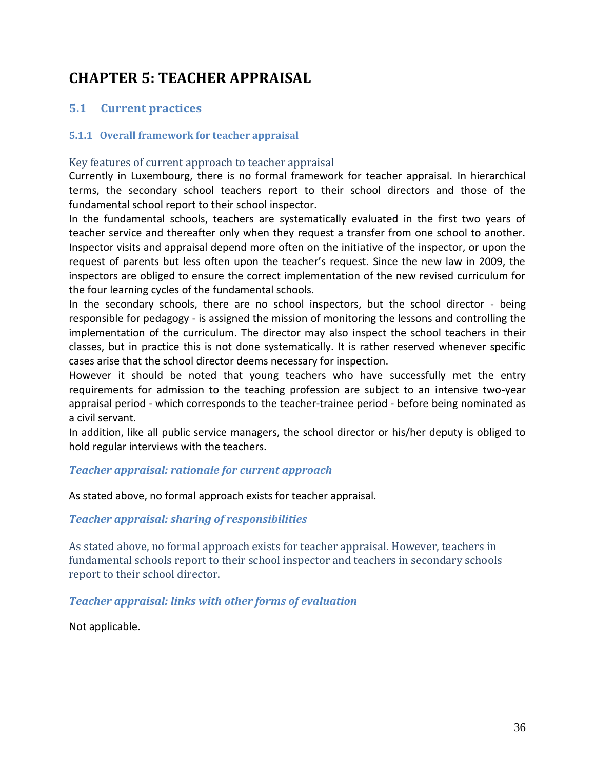# <span id="page-35-0"></span>**CHAPTER 5: TEACHER APPRAISAL**

# **5.1 Current practices**

#### <span id="page-35-1"></span>**5.1.1 Overall framework for teacher appraisal**

#### Key features of current approach to teacher appraisal

Currently in Luxembourg, there is no formal framework for teacher appraisal. In hierarchical terms, the secondary school teachers report to their school directors and those of the fundamental school report to their school inspector.

In the fundamental schools, teachers are systematically evaluated in the first two years of teacher service and thereafter only when they request a transfer from one school to another. Inspector visits and appraisal depend more often on the initiative of the inspector, or upon the request of parents but less often upon the teacher's request. Since the new law in 2009, the inspectors are obliged to ensure the correct implementation of the new revised curriculum for the four learning cycles of the fundamental schools.

In the secondary schools, there are no school inspectors, but the school director - being responsible for pedagogy - is assigned the mission of monitoring the lessons and controlling the implementation of the curriculum. The director may also inspect the school teachers in their classes, but in practice this is not done systematically. It is rather reserved whenever specific cases arise that the school director deems necessary for inspection.

However it should be noted that young teachers who have successfully met the entry requirements for admission to the teaching profession are subject to an intensive two-year appraisal period - which corresponds to the teacher-trainee period - before being nominated as a civil servant.

In addition, like all public service managers, the school director or his/her deputy is obliged to hold regular interviews with the teachers.

#### *Teacher appraisal: rationale for current approach*

As stated above, no formal approach exists for teacher appraisal.

#### *Teacher appraisal: sharing of responsibilities*

As stated above, no formal approach exists for teacher appraisal. However, teachers in fundamental schools report to their school inspector and teachers in secondary schools report to their school director.

#### *Teacher appraisal: links with other forms of evaluation*

Not applicable.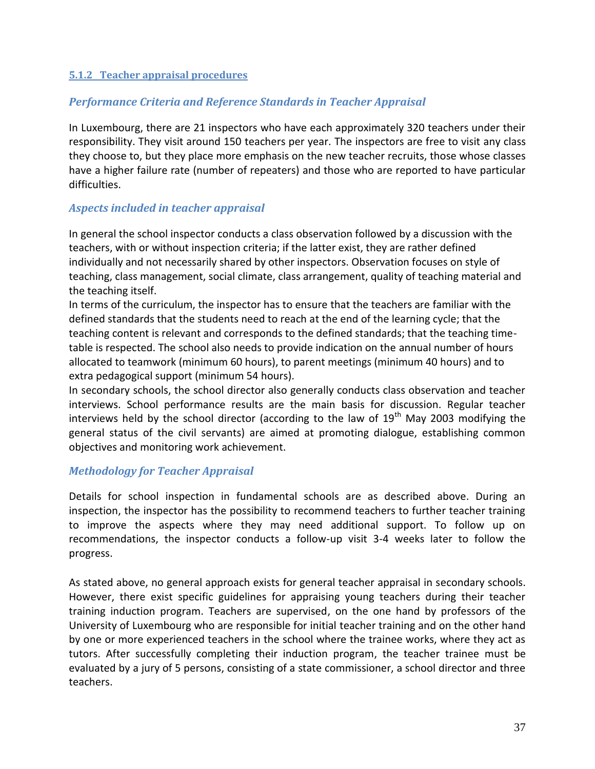#### <span id="page-36-0"></span>**5.1.2 Teacher appraisal procedures**

#### *Performance Criteria and Reference Standards in Teacher Appraisal*

In Luxembourg, there are 21 inspectors who have each approximately 320 teachers under their responsibility. They visit around 150 teachers per year. The inspectors are free to visit any class they choose to, but they place more emphasis on the new teacher recruits, those whose classes have a higher failure rate (number of repeaters) and those who are reported to have particular difficulties.

### *Aspects included in teacher appraisal*

In general the school inspector conducts a class observation followed by a discussion with the teachers, with or without inspection criteria; if the latter exist, they are rather defined individually and not necessarily shared by other inspectors. Observation focuses on style of teaching, class management, social climate, class arrangement, quality of teaching material and the teaching itself.

In terms of the curriculum, the inspector has to ensure that the teachers are familiar with the defined standards that the students need to reach at the end of the learning cycle; that the teaching content is relevant and corresponds to the defined standards; that the teaching timetable is respected. The school also needs to provide indication on the annual number of hours allocated to teamwork (minimum 60 hours), to parent meetings (minimum 40 hours) and to extra pedagogical support (minimum 54 hours).

In secondary schools, the school director also generally conducts class observation and teacher interviews. School performance results are the main basis for discussion. Regular teacher interviews held by the school director (according to the law of  $19<sup>th</sup>$  May 2003 modifying the general status of the civil servants) are aimed at promoting dialogue, establishing common objectives and monitoring work achievement.

# *Methodology for Teacher Appraisal*

Details for school inspection in fundamental schools are as described above. During an inspection, the inspector has the possibility to recommend teachers to further teacher training to improve the aspects where they may need additional support. To follow up on recommendations, the inspector conducts a follow-up visit 3-4 weeks later to follow the progress.

As stated above, no general approach exists for general teacher appraisal in secondary schools. However, there exist specific guidelines for appraising young teachers during their teacher training induction program. Teachers are supervised, on the one hand by professors of the University of Luxembourg who are responsible for initial teacher training and on the other hand by one or more experienced teachers in the school where the trainee works, where they act as tutors. After successfully completing their induction program, the teacher trainee must be evaluated by a jury of 5 persons, consisting of a state commissioner, a school director and three teachers.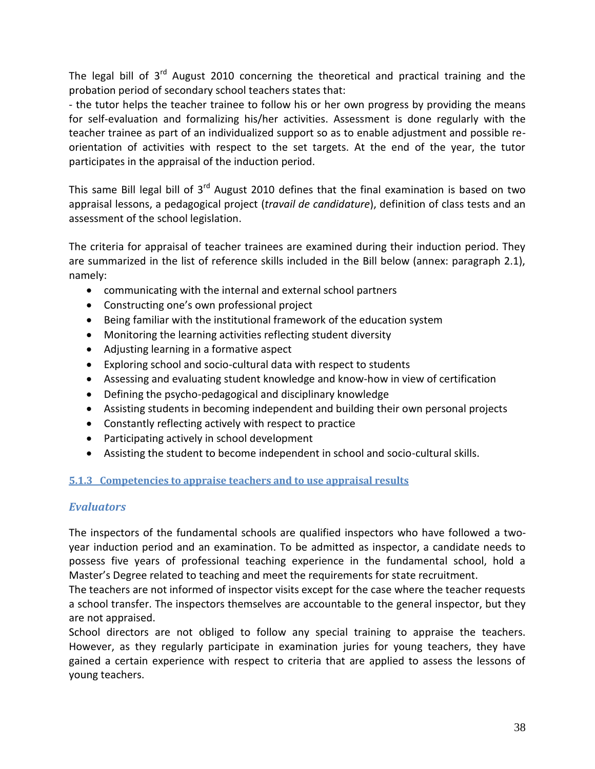The legal bill of  $3^{rd}$  August 2010 concerning the theoretical and practical training and the probation period of secondary school teachers states that:

- the tutor helps the teacher trainee to follow his or her own progress by providing the means for self-evaluation and formalizing his/her activities. Assessment is done regularly with the teacher trainee as part of an individualized support so as to enable adjustment and possible reorientation of activities with respect to the set targets. At the end of the year, the tutor participates in the appraisal of the induction period.

This same Bill legal bill of  $3<sup>rd</sup>$  August 2010 defines that the final examination is based on two appraisal lessons, a pedagogical project (*travail de candidature*), definition of class tests and an assessment of the school legislation.

The criteria for appraisal of teacher trainees are examined during their induction period. They are summarized in the list of reference skills included in the Bill below (annex: paragraph 2.1), namely:

- communicating with the internal and external school partners
- Constructing one's own professional project
- Being familiar with the institutional framework of the education system
- Monitoring the learning activities reflecting student diversity
- Adjusting learning in a formative aspect
- Exploring school and socio-cultural data with respect to students
- Assessing and evaluating student knowledge and know-how in view of certification
- Defining the psycho-pedagogical and disciplinary knowledge
- Assisting students in becoming independent and building their own personal projects
- Constantly reflecting actively with respect to practice
- Participating actively in school development
- Assisting the student to become independent in school and socio-cultural skills.

#### <span id="page-37-0"></span>**5.1.3 Competencies to appraise teachers and to use appraisal results**

# *Evaluators*

The inspectors of the fundamental schools are qualified inspectors who have followed a twoyear induction period and an examination. To be admitted as inspector, a candidate needs to possess five years of professional teaching experience in the fundamental school, hold a Master's Degree related to teaching and meet the requirements for state recruitment.

The teachers are not informed of inspector visits except for the case where the teacher requests a school transfer. The inspectors themselves are accountable to the general inspector, but they are not appraised.

School directors are not obliged to follow any special training to appraise the teachers. However, as they regularly participate in examination juries for young teachers, they have gained a certain experience with respect to criteria that are applied to assess the lessons of young teachers.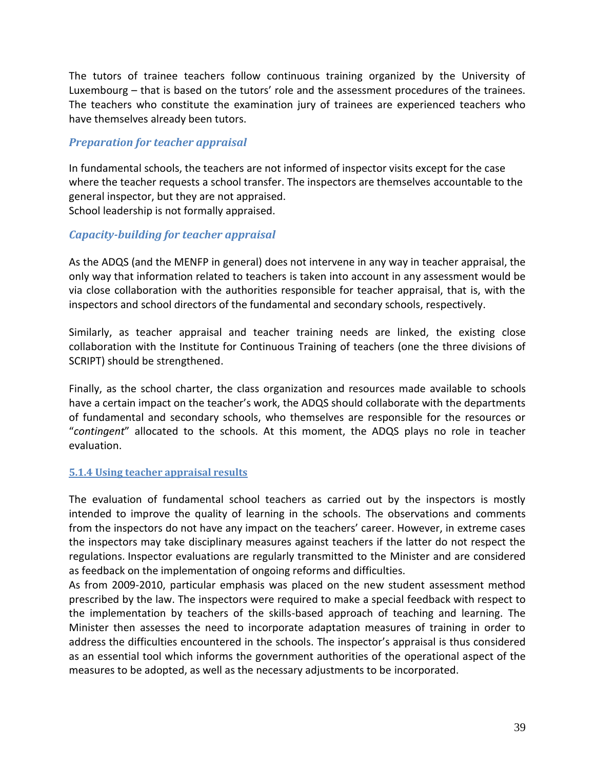The tutors of trainee teachers follow continuous training organized by the University of Luxembourg – that is based on the tutors' role and the assessment procedures of the trainees. The teachers who constitute the examination jury of trainees are experienced teachers who have themselves already been tutors.

### *Preparation for teacher appraisal*

In fundamental schools, the teachers are not informed of inspector visits except for the case where the teacher requests a school transfer. The inspectors are themselves accountable to the general inspector, but they are not appraised. School leadership is not formally appraised.

### *Capacity-building for teacher appraisal*

As the ADQS (and the MENFP in general) does not intervene in any way in teacher appraisal, the only way that information related to teachers is taken into account in any assessment would be via close collaboration with the authorities responsible for teacher appraisal, that is, with the inspectors and school directors of the fundamental and secondary schools, respectively.

Similarly, as teacher appraisal and teacher training needs are linked, the existing close collaboration with the Institute for Continuous Training of teachers (one the three divisions of SCRIPT) should be strengthened.

Finally, as the school charter, the class organization and resources made available to schools have a certain impact on the teacher's work, the ADQS should collaborate with the departments of fundamental and secondary schools, who themselves are responsible for the resources or "*contingent*" allocated to the schools. At this moment, the ADQS plays no role in teacher evaluation.

#### <span id="page-38-0"></span>**5.1.4 Using teacher appraisal results**

The evaluation of fundamental school teachers as carried out by the inspectors is mostly intended to improve the quality of learning in the schools. The observations and comments from the inspectors do not have any impact on the teachers' career. However, in extreme cases the inspectors may take disciplinary measures against teachers if the latter do not respect the regulations. Inspector evaluations are regularly transmitted to the Minister and are considered as feedback on the implementation of ongoing reforms and difficulties.

As from 2009-2010, particular emphasis was placed on the new student assessment method prescribed by the law. The inspectors were required to make a special feedback with respect to the implementation by teachers of the skills-based approach of teaching and learning. The Minister then assesses the need to incorporate adaptation measures of training in order to address the difficulties encountered in the schools. The inspector's appraisal is thus considered as an essential tool which informs the government authorities of the operational aspect of the measures to be adopted, as well as the necessary adjustments to be incorporated.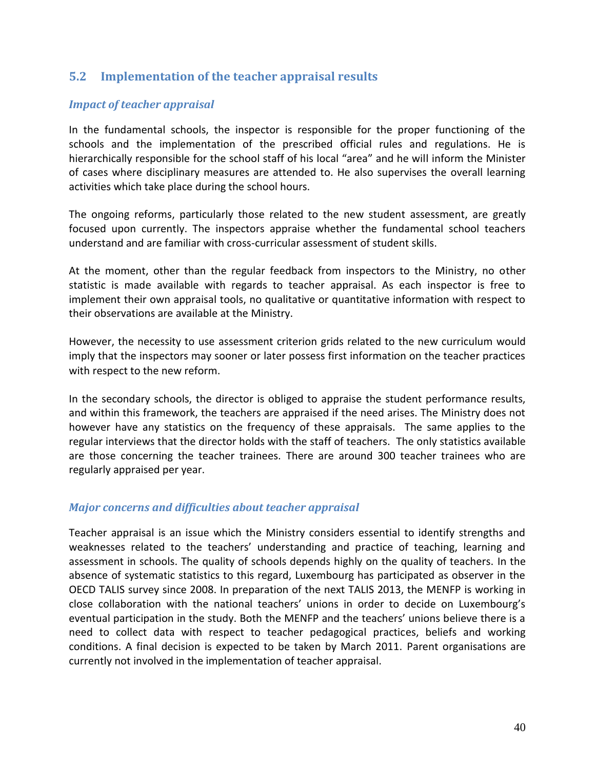# **5.2 Implementation of the teacher appraisal results**

#### *Impact of teacher appraisal*

In the fundamental schools, the inspector is responsible for the proper functioning of the schools and the implementation of the prescribed official rules and regulations. He is hierarchically responsible for the school staff of his local "area" and he will inform the Minister of cases where disciplinary measures are attended to. He also supervises the overall learning activities which take place during the school hours.

The ongoing reforms, particularly those related to the new student assessment, are greatly focused upon currently. The inspectors appraise whether the fundamental school teachers understand and are familiar with cross-curricular assessment of student skills.

At the moment, other than the regular feedback from inspectors to the Ministry, no other statistic is made available with regards to teacher appraisal. As each inspector is free to implement their own appraisal tools, no qualitative or quantitative information with respect to their observations are available at the Ministry.

However, the necessity to use assessment criterion grids related to the new curriculum would imply that the inspectors may sooner or later possess first information on the teacher practices with respect to the new reform.

In the secondary schools, the director is obliged to appraise the student performance results, and within this framework, the teachers are appraised if the need arises. The Ministry does not however have any statistics on the frequency of these appraisals. The same applies to the regular interviews that the director holds with the staff of teachers. The only statistics available are those concerning the teacher trainees. There are around 300 teacher trainees who are regularly appraised per year.

#### *Major concerns and difficulties about teacher appraisal*

Teacher appraisal is an issue which the Ministry considers essential to identify strengths and weaknesses related to the teachers' understanding and practice of teaching, learning and assessment in schools. The quality of schools depends highly on the quality of teachers. In the absence of systematic statistics to this regard, Luxembourg has participated as observer in the OECD TALIS survey since 2008. In preparation of the next TALIS 2013, the MENFP is working in close collaboration with the national teachers' unions in order to decide on Luxembourg's eventual participation in the study. Both the MENFP and the teachers' unions believe there is a need to collect data with respect to teacher pedagogical practices, beliefs and working conditions. A final decision is expected to be taken by March 2011. Parent organisations are currently not involved in the implementation of teacher appraisal.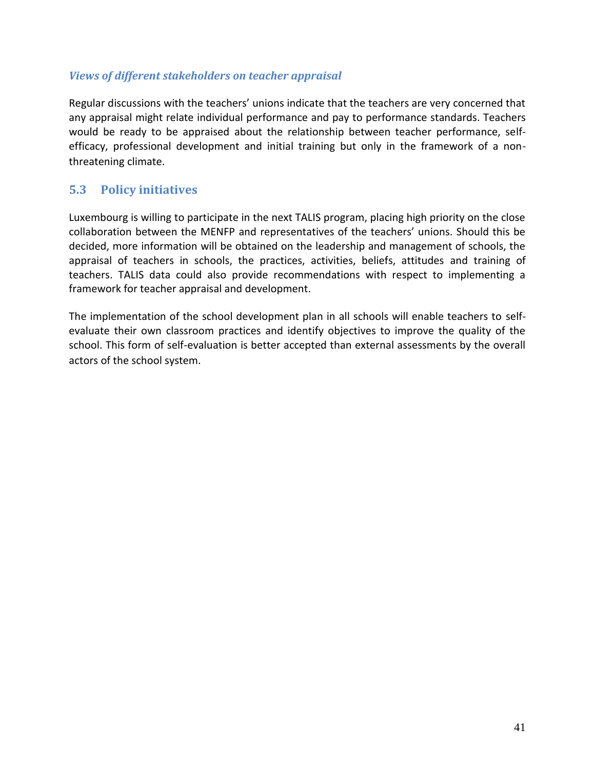#### *Views of different stakeholders on teacher appraisal*

Regular discussions with the teachers' unions indicate that the teachers are very concerned that any appraisal might relate individual performance and pay to performance standards. Teachers would be ready to be appraised about the relationship between teacher performance, selfefficacy, professional development and initial training but only in the framework of a nonthreatening climate.

# **5.3 Policy initiatives**

Luxembourg is willing to participate in the next TALIS program, placing high priority on the close collaboration between the MENFP and representatives of the teachers' unions. Should this be decided, more information will be obtained on the leadership and management of schools, the appraisal of teachers in schools, the practices, activities, beliefs, attitudes and training of teachers. TALIS data could also provide recommendations with respect to implementing a framework for teacher appraisal and development.

The implementation of the school development plan in all schools will enable teachers to selfevaluate their own classroom practices and identify objectives to improve the quality of the school. This form of self-evaluation is better accepted than external assessments by the overall actors of the school system.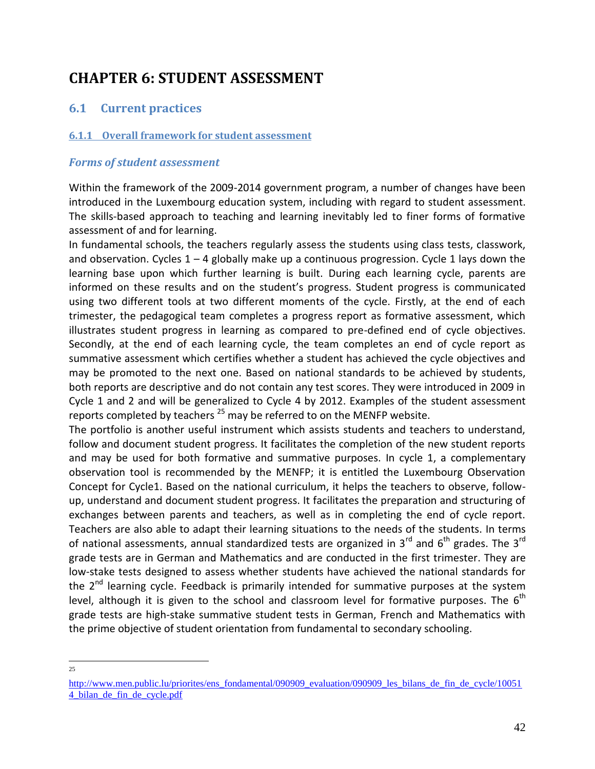# <span id="page-41-0"></span>**CHAPTER 6: STUDENT ASSESSMENT**

# **6.1 Current practices**

#### <span id="page-41-1"></span>**6.1.1 Overall framework for student assessment**

#### *Forms of student assessment*

Within the framework of the 2009-2014 government program, a number of changes have been introduced in the Luxembourg education system, including with regard to student assessment. The skills-based approach to teaching and learning inevitably led to finer forms of formative assessment of and for learning.

In fundamental schools, the teachers regularly assess the students using class tests, classwork, and observation. Cycles  $1 - 4$  globally make up a continuous progression. Cycle 1 lays down the learning base upon which further learning is built. During each learning cycle, parents are informed on these results and on the student's progress. Student progress is communicated using two different tools at two different moments of the cycle. Firstly, at the end of each trimester, the pedagogical team completes a progress report as formative assessment, which illustrates student progress in learning as compared to pre-defined end of cycle objectives. Secondly, at the end of each learning cycle, the team completes an end of cycle report as summative assessment which certifies whether a student has achieved the cycle objectives and may be promoted to the next one. Based on national standards to be achieved by students, both reports are descriptive and do not contain any test scores. They were introduced in 2009 in Cycle 1 and 2 and will be generalized to Cycle 4 by 2012. Examples of the student assessment reports completed by teachers<sup>25</sup> may be referred to on the MENFP website.

The portfolio is another useful instrument which assists students and teachers to understand, follow and document student progress. It facilitates the completion of the new student reports and may be used for both formative and summative purposes. In cycle 1, a complementary observation tool is recommended by the MENFP; it is entitled the Luxembourg Observation Concept for Cycle1. Based on the national curriculum, it helps the teachers to observe, followup, understand and document student progress. It facilitates the preparation and structuring of exchanges between parents and teachers, as well as in completing the end of cycle report. Teachers are also able to adapt their learning situations to the needs of the students. In terms of national assessments, annual standardized tests are organized in 3 $^{rd}$  and 6<sup>th</sup> grades. The 3<sup>rd</sup> grade tests are in German and Mathematics and are conducted in the first trimester. They are low-stake tests designed to assess whether students have achieved the national standards for the  $2<sup>nd</sup>$  learning cycle. Feedback is primarily intended for summative purposes at the system level, although it is given to the school and classroom level for formative purposes. The  $6<sup>th</sup>$ grade tests are high-stake summative student tests in German, French and Mathematics with the prime objective of student orientation from fundamental to secondary schooling.

<sup>&</sup>lt;sup>25</sup>

[http://www.men.public.lu/priorites/ens\\_fondamental/090909\\_evaluation/090909\\_les\\_bilans\\_de\\_fin\\_de\\_cycle/10051](http://www.men.public.lu/priorites/ens_fondamental/090909_evaluation/090909_les_bilans_de_fin_de_cycle/100514_bilan_de_fin_de_cycle.pdf)\_ [4\\_bilan\\_de\\_fin\\_de\\_cycle.pdf](http://www.men.public.lu/priorites/ens_fondamental/090909_evaluation/090909_les_bilans_de_fin_de_cycle/100514_bilan_de_fin_de_cycle.pdf)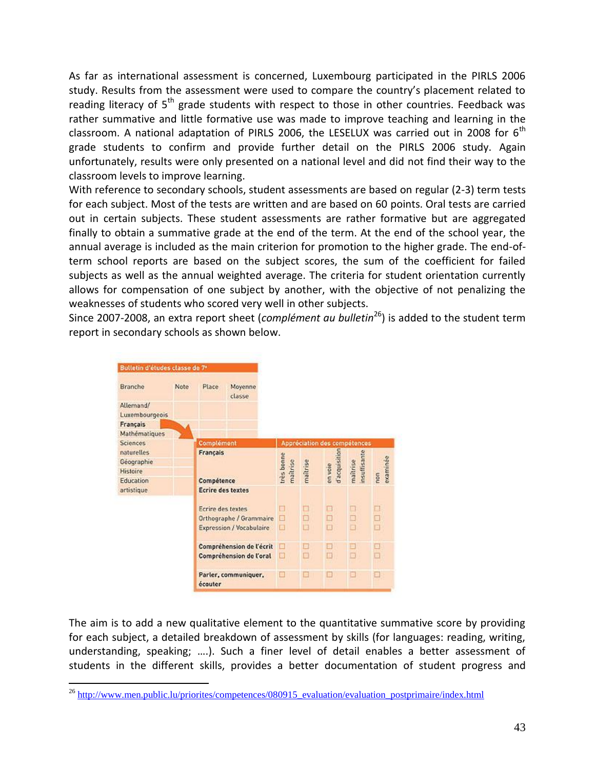As far as international assessment is concerned, Luxembourg participated in the PIRLS 2006 study. Results from the assessment were used to compare the country's placement related to reading literacy of  $5<sup>th</sup>$  grade students with respect to those in other countries. Feedback was rather summative and little formative use was made to improve teaching and learning in the classroom. A national adaptation of PIRLS 2006, the LESELUX was carried out in 2008 for  $6<sup>th</sup>$ grade students to confirm and provide further detail on the PIRLS 2006 study. Again unfortunately, results were only presented on a national level and did not find their way to the classroom levels to improve learning.

With reference to secondary schools, student assessments are based on regular (2-3) term tests for each subject. Most of the tests are written and are based on 60 points. Oral tests are carried out in certain subjects. These student assessments are rather formative but are aggregated finally to obtain a summative grade at the end of the term. At the end of the school year, the annual average is included as the main criterion for promotion to the higher grade. The end-ofterm school reports are based on the subject scores, the sum of the coefficient for failed subjects as well as the annual weighted average. The criteria for student orientation currently allows for compensation of one subject by another, with the objective of not penalizing the weaknesses of students who scored very well in other subjects.

Since 2007-2008, an extra report sheet (*complément au bulletin*<sup>26</sup>) is added to the student term report in secondary schools as shown below.

| Branche           | Note | <b>Place</b>                    | Moyenne<br>classe |                        |          |                              |                         |                 |
|-------------------|------|---------------------------------|-------------------|------------------------|----------|------------------------------|-------------------------|-----------------|
| Allemand/         |      |                                 |                   |                        |          |                              |                         |                 |
| Luxembourgeois    |      |                                 |                   |                        |          |                              |                         |                 |
| Français          |      |                                 |                   |                        |          |                              |                         |                 |
| Mathématiques     |      |                                 |                   |                        |          |                              |                         |                 |
| Sciences          |      | Complément                      |                   |                        |          | Appréciation des compétences |                         |                 |
| <b>naturelles</b> |      | Français                        |                   |                        |          | d'acquisition                |                         |                 |
| Géographie        |      |                                 |                   |                        |          |                              |                         |                 |
| <b>Histoire</b>   |      |                                 |                   | très bonne<br>maîtrise | maîtrise | en voie                      | nsuffisante<br>maîtrise | examinée<br>non |
| Education         |      | Compétence                      |                   |                        |          |                              |                         |                 |
| artistique        |      | <b>Ecrire des textes</b>        |                   |                        |          |                              |                         |                 |
|                   |      | Ecrire des textes               |                   | □                      | ο        | □                            | □                       | 囗               |
|                   |      | Orthographe / Grammaire         |                   | ⊟                      | ◻        | □                            | o                       | □               |
|                   |      | <b>Expression / Vocabulaire</b> |                   | □                      | o        | 口                            | o                       | □               |
|                   |      | Compréhension de l'écrit        |                   | □                      | Ð        | Ð                            | ▣                       | ▣               |
|                   |      | Compréhension de l'oral         |                   | п                      | Ð        | ◫                            | ⊡                       | o               |
|                   |      | Parler, communiquer,<br>écouter |                   | H                      | o        | o                            | o                       | □               |

The aim is to add a new qualitative element to the quantitative summative score by providing for each subject, a detailed breakdown of assessment by skills (for languages: reading, writing, understanding, speaking; ….). Such a finer level of detail enables a better assessment of students in the different skills, provides a better documentation of student progress and

 $\overline{a}$  $^{26}$  [http://www.men.public.lu/priorites/competences/080915\\_evaluation/evaluation\\_postprimaire/index.html](http://www.men.public.lu/priorites/competences/080915_evaluation/evaluation_postprimaire/index.html)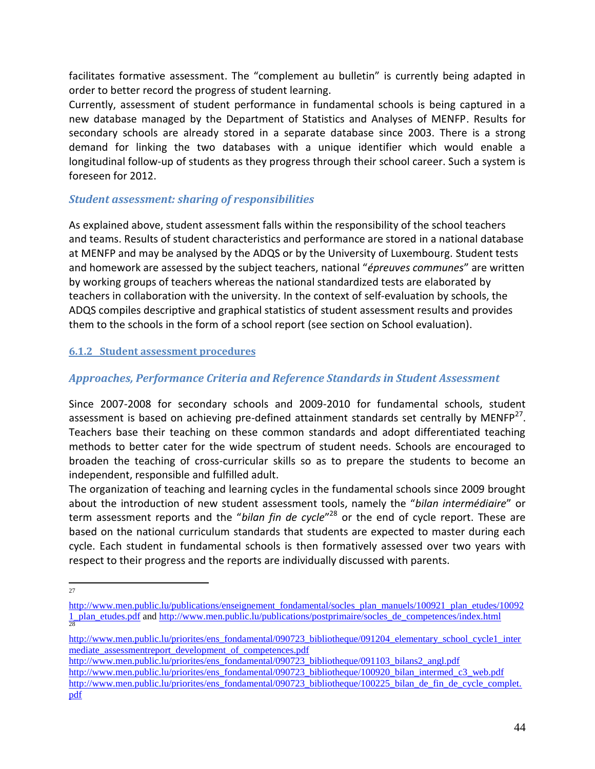facilitates formative assessment. The "complement au bulletin" is currently being adapted in order to better record the progress of student learning.

Currently, assessment of student performance in fundamental schools is being captured in a new database managed by the Department of Statistics and Analyses of MENFP. Results for secondary schools are already stored in a separate database since 2003. There is a strong demand for linking the two databases with a unique identifier which would enable a longitudinal follow-up of students as they progress through their school career. Such a system is foreseen for 2012.

# *Student assessment: sharing of responsibilities*

As explained above, student assessment falls within the responsibility of the school teachers and teams. Results of student characteristics and performance are stored in a national database at MENFP and may be analysed by the ADQS or by the University of Luxembourg. Student tests and homework are assessed by the subject teachers, national "*épreuves communes*" are written by working groups of teachers whereas the national standardized tests are elaborated by teachers in collaboration with the university. In the context of self-evaluation by schools, the ADQS compiles descriptive and graphical statistics of student assessment results and provides them to the schools in the form of a school report (see section on School evaluation).

#### <span id="page-43-0"></span>**6.1.2 Student assessment procedures**

# *Approaches, Performance Criteria and Reference Standards in Student Assessment*

Since 2007-2008 for secondary schools and 2009-2010 for fundamental schools, student assessment is based on achieving pre-defined attainment standards set centrally by MENFP<sup>27</sup>. Teachers base their teaching on these common standards and adopt differentiated teaching methods to better cater for the wide spectrum of student needs. Schools are encouraged to broaden the teaching of cross-curricular skills so as to prepare the students to become an independent, responsible and fulfilled adult.

The organization of teaching and learning cycles in the fundamental schools since 2009 brought about the introduction of new student assessment tools, namely the "*bilan intermédiaire*" or term assessment reports and the "*bilan fin de cycle*" <sup>28</sup> or the end of cycle report. These are based on the national curriculum standards that students are expected to master during each cycle. Each student in fundamental schools is then formatively assessed over two years with respect to their progress and the reports are individually discussed with parents.

[http://www.men.public.lu/priorites/ens\\_fondamental/090723\\_bibliotheque/091204\\_elementary\\_school\\_cycle1\\_inter](http://www.men.public.lu/priorites/ens_fondamental/090723_bibliotheque/091204_elementary_school_cycle1_intermediate_assessmentreport_development_of_competences.pdf) [mediate\\_assessmentreport\\_development\\_of\\_competences.pdf](http://www.men.public.lu/priorites/ens_fondamental/090723_bibliotheque/091204_elementary_school_cycle1_intermediate_assessmentreport_development_of_competences.pdf)

[http://www.men.public.lu/priorites/ens\\_fondamental/090723\\_bibliotheque/091103\\_bilans2\\_angl.pdf](http://www.men.public.lu/priorites/ens_fondamental/090723_bibliotheque/091103_bilans2_angl.pdf) [http://www.men.public.lu/priorites/ens\\_fondamental/090723\\_bibliotheque/100920\\_bilan\\_intermed\\_c3\\_web.pdf](http://www.men.public.lu/priorites/ens_fondamental/090723_bibliotheque/100920_bilan_intermed_c3_web.pdf) [http://www.men.public.lu/priorites/ens\\_fondamental/090723\\_bibliotheque/100225\\_bilan\\_de\\_fin\\_de\\_cycle\\_complet.](http://www.men.public.lu/priorites/ens_fondamental/090723_bibliotheque/100225_bilan_de_fin_de_cycle_complet.pdf) [pdf](http://www.men.public.lu/priorites/ens_fondamental/090723_bibliotheque/100225_bilan_de_fin_de_cycle_complet.pdf)

<sup>&</sup>lt;sup>27</sup>

[http://www.men.public.lu/publications/enseignement\\_fondamental/socles\\_plan\\_manuels/100921\\_plan\\_etudes/10092](http://www.men.public.lu/publications/enseignement_fondamental/socles_plan_manuels/100921_plan_etudes/100921_plan_etudes.pdf) [1\\_plan\\_etudes.pdf](http://www.men.public.lu/publications/enseignement_fondamental/socles_plan_manuels/100921_plan_etudes/100921_plan_etudes.pdf) and [http://www.men.public.lu/publications/postprimaire/socles\\_de\\_competences/index.html](http://www.men.public.lu/publications/postprimaire/socles_de_competences/index.html) 28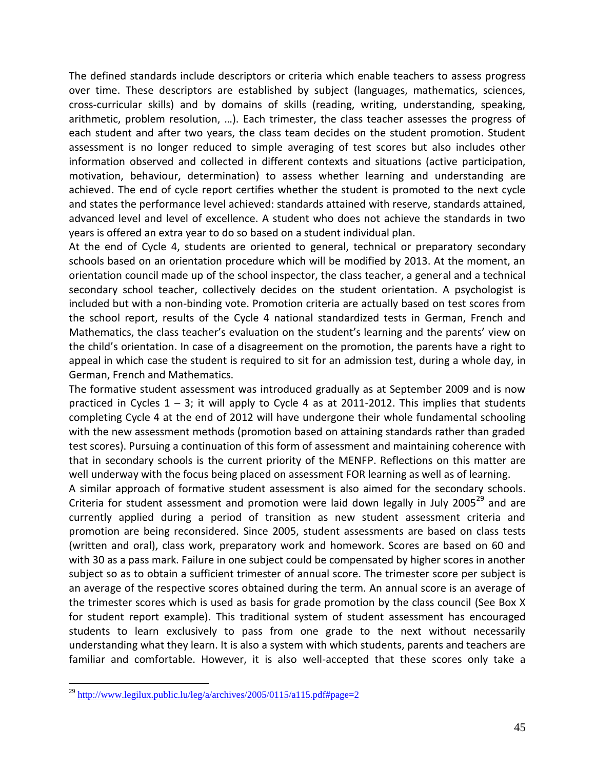The defined standards include descriptors or criteria which enable teachers to assess progress over time. These descriptors are established by subject (languages, mathematics, sciences, cross-curricular skills) and by domains of skills (reading, writing, understanding, speaking, arithmetic, problem resolution, …). Each trimester, the class teacher assesses the progress of each student and after two years, the class team decides on the student promotion. Student assessment is no longer reduced to simple averaging of test scores but also includes other information observed and collected in different contexts and situations (active participation, motivation, behaviour, determination) to assess whether learning and understanding are achieved. The end of cycle report certifies whether the student is promoted to the next cycle and states the performance level achieved: standards attained with reserve, standards attained, advanced level and level of excellence. A student who does not achieve the standards in two years is offered an extra year to do so based on a student individual plan.

At the end of Cycle 4, students are oriented to general, technical or preparatory secondary schools based on an orientation procedure which will be modified by 2013. At the moment, an orientation council made up of the school inspector, the class teacher, a general and a technical secondary school teacher, collectively decides on the student orientation. A psychologist is included but with a non-binding vote. Promotion criteria are actually based on test scores from the school report, results of the Cycle 4 national standardized tests in German, French and Mathematics, the class teacher's evaluation on the student's learning and the parents' view on the child's orientation. In case of a disagreement on the promotion, the parents have a right to appeal in which case the student is required to sit for an admission test, during a whole day, in German, French and Mathematics.

The formative student assessment was introduced gradually as at September 2009 and is now practiced in Cycles 1 – 3; it will apply to Cycle 4 as at 2011-2012. This implies that students completing Cycle 4 at the end of 2012 will have undergone their whole fundamental schooling with the new assessment methods (promotion based on attaining standards rather than graded test scores). Pursuing a continuation of this form of assessment and maintaining coherence with that in secondary schools is the current priority of the MENFP. Reflections on this matter are well underway with the focus being placed on assessment FOR learning as well as of learning.

A similar approach of formative student assessment is also aimed for the secondary schools. Criteria for student assessment and promotion were laid down legally in July 2005<sup>29</sup> and are currently applied during a period of transition as new student assessment criteria and promotion are being reconsidered. Since 2005, student assessments are based on class tests (written and oral), class work, preparatory work and homework. Scores are based on 60 and with 30 as a pass mark. Failure in one subject could be compensated by higher scores in another subject so as to obtain a sufficient trimester of annual score. The trimester score per subject is an average of the respective scores obtained during the term. An annual score is an average of the trimester scores which is used as basis for grade promotion by the class council (See Box X for student report example). This traditional system of student assessment has encouraged students to learn exclusively to pass from one grade to the next without necessarily understanding what they learn. It is also a system with which students, parents and teachers are familiar and comfortable. However, it is also well-accepted that these scores only take a

<sup>&</sup>lt;sup>29</sup> <http://www.legilux.public.lu/leg/a/archives/2005/0115/a115.pdf#page=2>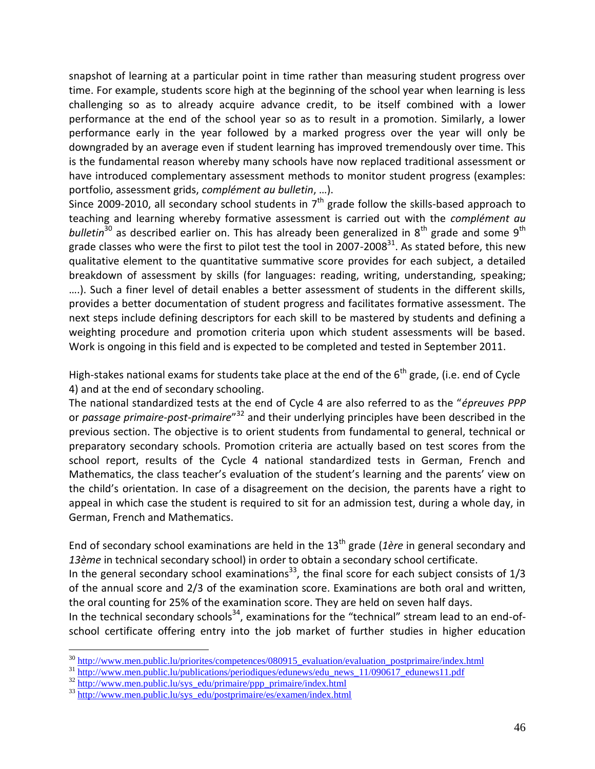snapshot of learning at a particular point in time rather than measuring student progress over time. For example, students score high at the beginning of the school year when learning is less challenging so as to already acquire advance credit, to be itself combined with a lower performance at the end of the school year so as to result in a promotion. Similarly, a lower performance early in the year followed by a marked progress over the year will only be downgraded by an average even if student learning has improved tremendously over time. This is the fundamental reason whereby many schools have now replaced traditional assessment or have introduced complementary assessment methods to monitor student progress (examples: portfolio, assessment grids, *complément au bulletin*, …).

Since 2009-2010, all secondary school students in  $7<sup>th</sup>$  grade follow the skills-based approach to teaching and learning whereby formative assessment is carried out with the *complément au bulletin*<sup>30</sup> as described earlier on. This has already been generalized in 8<sup>th</sup> grade and some 9<sup>th</sup> grade classes who were the first to pilot test the tool in 2007-2008<sup>31</sup>. As stated before, this new qualitative element to the quantitative summative score provides for each subject, a detailed breakdown of assessment by skills (for languages: reading, writing, understanding, speaking; ….). Such a finer level of detail enables a better assessment of students in the different skills, provides a better documentation of student progress and facilitates formative assessment. The next steps include defining descriptors for each skill to be mastered by students and defining a weighting procedure and promotion criteria upon which student assessments will be based. Work is ongoing in this field and is expected to be completed and tested in September 2011.

High-stakes national exams for students take place at the end of the  $6<sup>th</sup>$  grade, (i.e. end of Cycle 4) and at the end of secondary schooling.

The national standardized tests at the end of Cycle 4 are also referred to as the "*épreuves PPP* or *passage primaire-post-primaire*"<sup>32</sup> and their underlying principles have been described in the previous section. The objective is to orient students from fundamental to general, technical or preparatory secondary schools. Promotion criteria are actually based on test scores from the school report, results of the Cycle 4 national standardized tests in German, French and Mathematics, the class teacher's evaluation of the student's learning and the parents' view on the child's orientation. In case of a disagreement on the decision, the parents have a right to appeal in which case the student is required to sit for an admission test, during a whole day, in German, French and Mathematics.

End of secondary school examinations are held in the 13<sup>th</sup> grade (1ère in general secondary and *13ème* in technical secondary school) in order to obtain a secondary school certificate.

In the general secondary school examinations<sup>33</sup>, the final score for each subject consists of  $1/3$ of the annual score and 2/3 of the examination score. Examinations are both oral and written, the oral counting for 25% of the examination score. They are held on seven half days.

In the technical secondary schools<sup>34</sup>, examinations for the "technical" stream lead to an end-ofschool certificate offering entry into the job market of further studies in higher education

<sup>&</sup>lt;sup>30</sup> http://www.men.public.lu/priorites/competences/080915 evaluation/evaluation postprimaire/index.html

<sup>&</sup>lt;sup>31</sup> [http://www.men.public.lu/publications/periodiques/edunews/edu\\_news\\_11/090617\\_edunews11.pdf](http://www.men.public.lu/publications/periodiques/edunews/edu_news_11/090617_edunews11.pdf)

<sup>&</sup>lt;sup>32</sup> [http://www.men.public.lu/sys\\_edu/primaire/ppp\\_primaire/index.html](http://www.men.public.lu/sys_edu/primaire/ppp_primaire/index.html)

<sup>&</sup>lt;sup>33</sup> [http://www.men.public.lu/sys\\_edu/postprimaire/es/examen/index.html](http://www.men.public.lu/sys_edu/postprimaire/es/examen/index.html)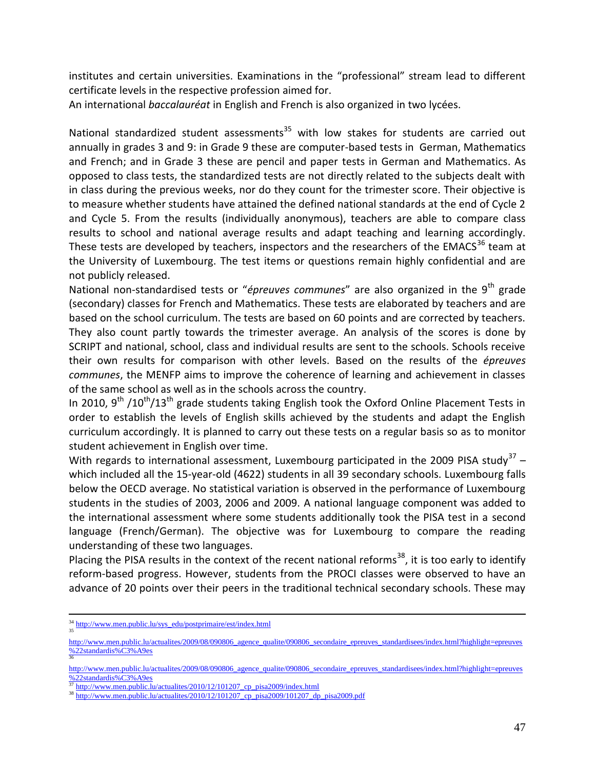institutes and certain universities. Examinations in the "professional" stream lead to different certificate levels in the respective profession aimed for.

An international *baccalauréat* in English and French is also organized in two lycées.

National standardized student assessments<sup>35</sup> with low stakes for students are carried out annually in grades 3 and 9: in Grade 9 these are computer-based tests in German, Mathematics and French; and in Grade 3 these are pencil and paper tests in German and Mathematics. As opposed to class tests, the standardized tests are not directly related to the subjects dealt with in class during the previous weeks, nor do they count for the trimester score. Their objective is to measure whether students have attained the defined national standards at the end of Cycle 2 and Cycle 5. From the results (individually anonymous), teachers are able to compare class results to school and national average results and adapt teaching and learning accordingly. These tests are developed by teachers, inspectors and the researchers of the EMACS $36$  team at the University of Luxembourg. The test items or questions remain highly confidential and are not publicly released.

National non-standardised tests or "*épreuves communes*" are also organized in the 9<sup>th</sup> grade (secondary) classes for French and Mathematics. These tests are elaborated by teachers and are based on the school curriculum. The tests are based on 60 points and are corrected by teachers. They also count partly towards the trimester average. An analysis of the scores is done by SCRIPT and national, school, class and individual results are sent to the schools. Schools receive their own results for comparison with other levels. Based on the results of the *épreuves communes*, the MENFP aims to improve the coherence of learning and achievement in classes of the same school as well as in the schools across the country.

In 2010, 9<sup>th</sup> /10<sup>th</sup>/13<sup>th</sup> grade students taking English took the Oxford Online Placement Tests in order to establish the levels of English skills achieved by the students and adapt the English curriculum accordingly. It is planned to carry out these tests on a regular basis so as to monitor student achievement in English over time.

With regards to international assessment, Luxembourg participated in the 2009 PISA study<sup>37</sup> – which included all the 15-year-old (4622) students in all 39 secondary schools. Luxembourg falls below the OECD average. No statistical variation is observed in the performance of Luxembourg students in the studies of 2003, 2006 and 2009. A national language component was added to the international assessment where some students additionally took the PISA test in a second language (French/German). The objective was for Luxembourg to compare the reading understanding of these two languages.

Placing the PISA results in the context of the recent national reforms<sup>38</sup>, it is too early to identify reform-based progress. However, students from the PROCI classes were observed to have an advance of 20 points over their peers in the traditional technical secondary schools. These may

<sup>&</sup>lt;sup>34</sup> [http://www.men.public.lu/sys\\_edu/postprimaire/est/index.html](http://www.men.public.lu/sys_edu/postprimaire/est/index.html)

[http://www.men.public.lu/actualites/2009/08/090806\\_agence\\_qualite/090806\\_secondaire\\_epreuves\\_standardisees/index.html?highlight=epreuves](http://www.men.public.lu/actualites/2009/08/090806_agence_qualite/090806_secondaire_epreuves_standardisees/index.html?highlight=epreuves%22standardis%C3%A9es) [%22standardis%C3%A9es](http://www.men.public.lu/actualites/2009/08/090806_agence_qualite/090806_secondaire_epreuves_standardisees/index.html?highlight=epreuves%22standardis%C3%A9es) 36

[http://www.men.public.lu/actualites/2009/08/090806\\_agence\\_qualite/090806\\_secondaire\\_epreuves\\_standardisees/index.html?highlight=epreuves](http://www.men.public.lu/actualites/2009/08/090806_agence_qualite/090806_secondaire_epreuves_standardisees/index.html?highlight=epreuves%22standardis%C3%A9es) [%22standardis%C3%A9es](http://www.men.public.lu/actualites/2009/08/090806_agence_qualite/090806_secondaire_epreuves_standardisees/index.html?highlight=epreuves%22standardis%C3%A9es)

[http://www.men.public.lu/actualites/2010/12/101207\\_cp\\_pisa2009/index.html](http://www.men.public.lu/actualites/2010/12/101207_cp_pisa2009/index.html)

 $38 \frac{\text{http://www.men.public.lu/actualites/2010/12/101207 cp} \text{pisa2009/101207 dp} \text{pisa2009.pdf}}{$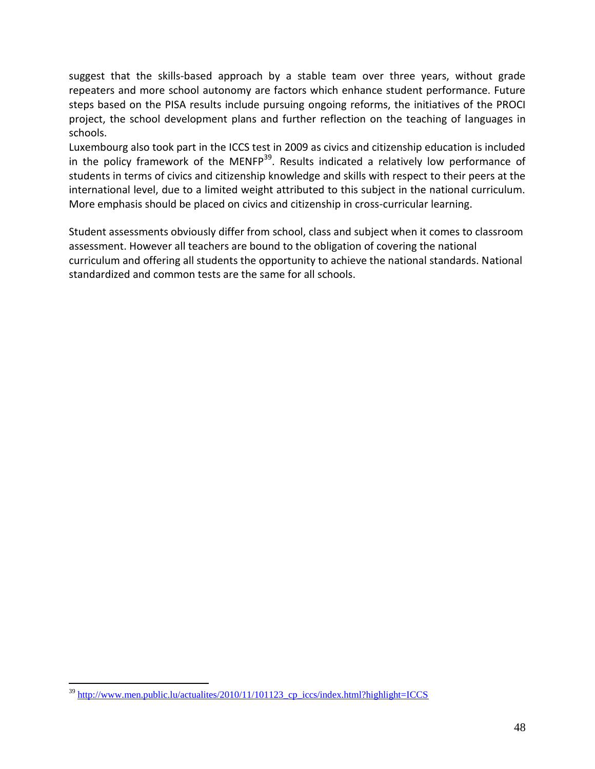suggest that the skills-based approach by a stable team over three years, without grade repeaters and more school autonomy are factors which enhance student performance. Future steps based on the PISA results include pursuing ongoing reforms, the initiatives of the PROCI project, the school development plans and further reflection on the teaching of languages in schools.

Luxembourg also took part in the ICCS test in 2009 as civics and citizenship education is included in the policy framework of the MENFP<sup>39</sup>. Results indicated a relatively low performance of students in terms of civics and citizenship knowledge and skills with respect to their peers at the international level, due to a limited weight attributed to this subject in the national curriculum. More emphasis should be placed on civics and citizenship in cross-curricular learning.

Student assessments obviously differ from school, class and subject when it comes to classroom assessment. However all teachers are bound to the obligation of covering the national curriculum and offering all students the opportunity to achieve the national standards. National standardized and common tests are the same for all schools.

 $\overline{a}$  $39$  http://www.men.public.lu/actualites/2010/11/101123 cp iccs/index.html?highlight=ICCS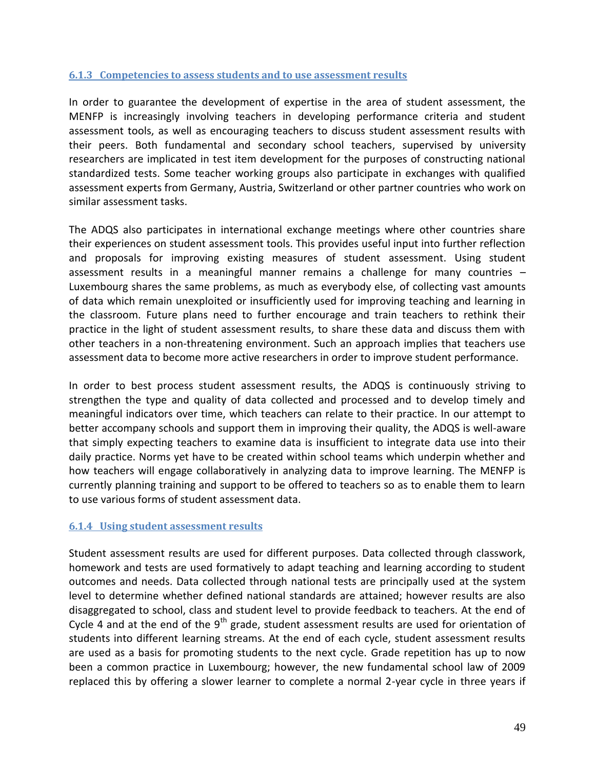#### <span id="page-48-0"></span>**6.1.3 Competencies to assess students and to use assessment results**

In order to guarantee the development of expertise in the area of student assessment, the MENFP is increasingly involving teachers in developing performance criteria and student assessment tools, as well as encouraging teachers to discuss student assessment results with their peers. Both fundamental and secondary school teachers, supervised by university researchers are implicated in test item development for the purposes of constructing national standardized tests. Some teacher working groups also participate in exchanges with qualified assessment experts from Germany, Austria, Switzerland or other partner countries who work on similar assessment tasks.

The ADQS also participates in international exchange meetings where other countries share their experiences on student assessment tools. This provides useful input into further reflection and proposals for improving existing measures of student assessment. Using student assessment results in a meaningful manner remains a challenge for many countries – Luxembourg shares the same problems, as much as everybody else, of collecting vast amounts of data which remain unexploited or insufficiently used for improving teaching and learning in the classroom. Future plans need to further encourage and train teachers to rethink their practice in the light of student assessment results, to share these data and discuss them with other teachers in a non-threatening environment. Such an approach implies that teachers use assessment data to become more active researchers in order to improve student performance.

In order to best process student assessment results, the ADQS is continuously striving to strengthen the type and quality of data collected and processed and to develop timely and meaningful indicators over time, which teachers can relate to their practice. In our attempt to better accompany schools and support them in improving their quality, the ADQS is well-aware that simply expecting teachers to examine data is insufficient to integrate data use into their daily practice. Norms yet have to be created within school teams which underpin whether and how teachers will engage collaboratively in analyzing data to improve learning. The MENFP is currently planning training and support to be offered to teachers so as to enable them to learn to use various forms of student assessment data.

#### <span id="page-48-1"></span>**6.1.4 Using student assessment results**

Student assessment results are used for different purposes. Data collected through classwork, homework and tests are used formatively to adapt teaching and learning according to student outcomes and needs. Data collected through national tests are principally used at the system level to determine whether defined national standards are attained; however results are also disaggregated to school, class and student level to provide feedback to teachers. At the end of Cycle 4 and at the end of the  $9<sup>th</sup>$  grade, student assessment results are used for orientation of students into different learning streams. At the end of each cycle, student assessment results are used as a basis for promoting students to the next cycle. Grade repetition has up to now been a common practice in Luxembourg; however, the new fundamental school law of 2009 replaced this by offering a slower learner to complete a normal 2-year cycle in three years if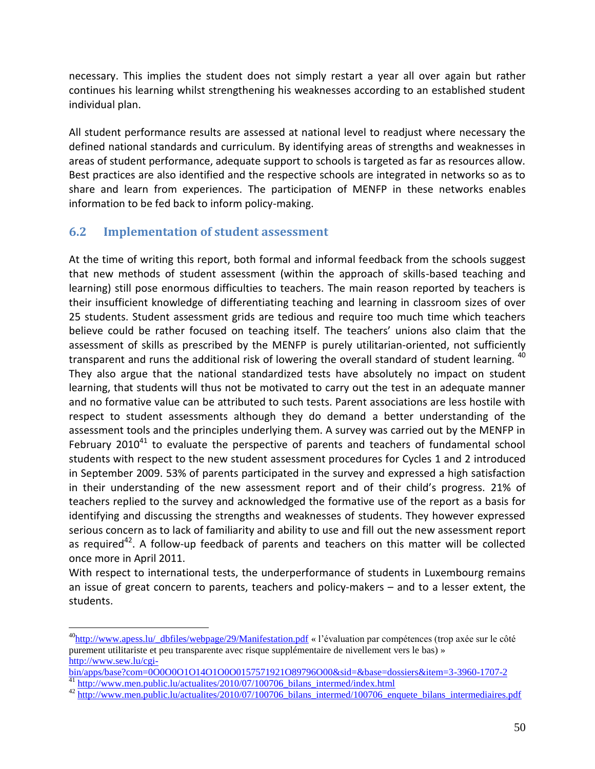necessary. This implies the student does not simply restart a year all over again but rather continues his learning whilst strengthening his weaknesses according to an established student individual plan.

All student performance results are assessed at national level to readjust where necessary the defined national standards and curriculum. By identifying areas of strengths and weaknesses in areas of student performance, adequate support to schools is targeted as far as resources allow. Best practices are also identified and the respective schools are integrated in networks so as to share and learn from experiences. The participation of MENFP in these networks enables information to be fed back to inform policy-making.

# **6.2 Implementation of student assessment**

 $\overline{a}$ 

At the time of writing this report, both formal and informal feedback from the schools suggest that new methods of student assessment (within the approach of skills-based teaching and learning) still pose enormous difficulties to teachers. The main reason reported by teachers is their insufficient knowledge of differentiating teaching and learning in classroom sizes of over 25 students. Student assessment grids are tedious and require too much time which teachers believe could be rather focused on teaching itself. The teachers' unions also claim that the assessment of skills as prescribed by the MENFP is purely utilitarian-oriented, not sufficiently transparent and runs the additional risk of lowering the overall standard of student learning. <sup>40</sup> They also argue that the national standardized tests have absolutely no impact on student learning, that students will thus not be motivated to carry out the test in an adequate manner and no formative value can be attributed to such tests. Parent associations are less hostile with respect to student assessments although they do demand a better understanding of the assessment tools and the principles underlying them. A survey was carried out by the MENFP in February 2010<sup>41</sup> to evaluate the perspective of parents and teachers of fundamental school students with respect to the new student assessment procedures for Cycles 1 and 2 introduced in September 2009. 53% of parents participated in the survey and expressed a high satisfaction in their understanding of the new assessment report and of their child's progress. 21% of teachers replied to the survey and acknowledged the formative use of the report as a basis for identifying and discussing the strengths and weaknesses of students. They however expressed serious concern as to lack of familiarity and ability to use and fill out the new assessment report as required<sup>42</sup>. A follow-up feedback of parents and teachers on this matter will be collected once more in April 2011.

With respect to international tests, the underperformance of students in Luxembourg remains an issue of great concern to parents, teachers and policy-makers – and to a lesser extent, the students.

<sup>&</sup>lt;sup>40</sup>[http://www.apess.lu/\\_dbfiles/webpage/29/Manifestation.pdf](http://www.apess.lu/_dbfiles/webpage/29/Manifestation.pdf) « l'évaluation par compétences (trop axée sur le côté purement utilitariste et peu transparente avec risque supplémentaire de nivellement vers le bas) » [http://www.sew.lu/cgi-](http://www.sew.lu/cgi-bin/apps/base?com=0O0O0O1O14O1O0O0157571921O89796O00&sid=&base=dossiers&item=3-3960-1707-2)

[bin/apps/base?com=0O0O0O1O14O1O0O0157571921O89796O00&sid=&base=dossiers&item=3-3960-1707-2](http://www.sew.lu/cgi-bin/apps/base?com=0O0O0O1O14O1O0O0157571921O89796O00&sid=&base=dossiers&item=3-3960-1707-2) <sup>41</sup> [http://www.men.public.lu/actualites/2010/07/100706\\_bilans\\_intermed/index.html](http://www.men.public.lu/actualites/2010/07/100706_bilans_intermed/index.html)

<sup>&</sup>lt;sup>42</sup> [http://www.men.public.lu/actualites/2010/07/100706\\_bilans\\_intermed/100706\\_enquete\\_bilans\\_intermediaires.pdf](http://www.men.public.lu/actualites/2010/07/100706_bilans_intermed/100706_enquete_bilans_intermediaires.pdf)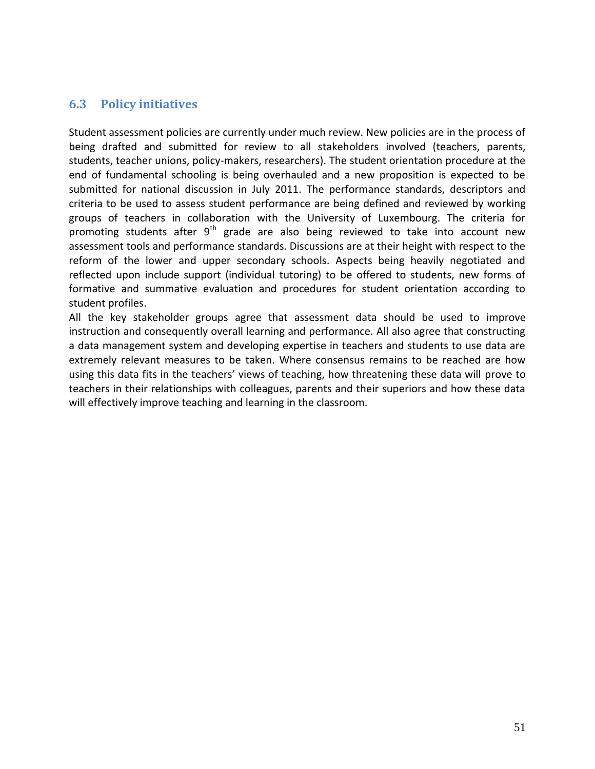## **6.3 Policy initiatives**

Student assessment policies are currently under much review. New policies are in the process of being drafted and submitted for review to all stakeholders involved (teachers, parents, students, teacher unions, policy-makers, researchers). The student orientation procedure at the end of fundamental schooling is being overhauled and a new proposition is expected to be submitted for national discussion in July 2011. The performance standards, descriptors and criteria to be used to assess student performance are being defined and reviewed by working groups of teachers in collaboration with the University of Luxembourg. The criteria for promoting students after 9<sup>th</sup> grade are also being reviewed to take into account new assessment tools and performance standards. Discussions are at their height with respect to the reform of the lower and upper secondary schools. Aspects being heavily negotiated and reflected upon include support (individual tutoring) to be offered to students, new forms of formative and summative evaluation and procedures for student orientation according to student profiles.

All the key stakeholder groups agree that assessment data should be used to improve instruction and consequently overall learning and performance. All also agree that constructing a data management system and developing expertise in teachers and students to use data are extremely relevant measures to be taken. Where consensus remains to be reached are how using this data fits in the teachers' views of teaching, how threatening these data will prove to teachers in their relationships with colleagues, parents and their superiors and how these data will effectively improve teaching and learning in the classroom.